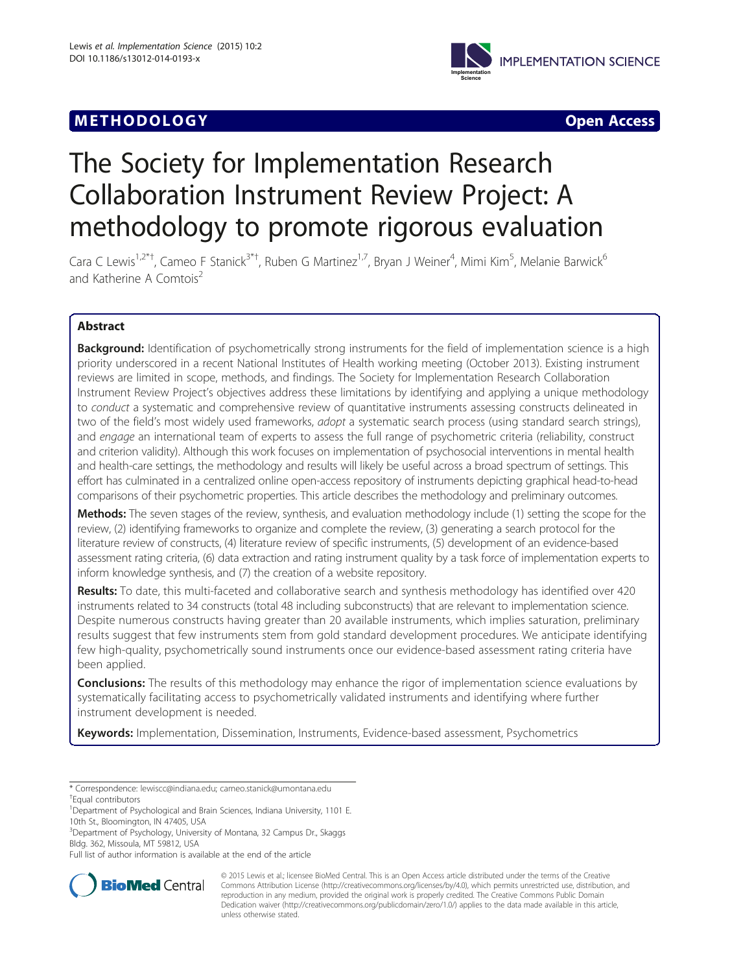# **METHODOLOGY CONSUMING ACCESS**



# The Society for Implementation Research Collaboration Instrument Review Project: A methodology to promote rigorous evaluation

Cara C Lewis<sup>1,2\*†</sup>, Cameo F Stanick<sup>3\*†</sup>, Ruben G Martinez<sup>1,7</sup>, Bryan J Weiner<sup>4</sup>, Mimi Kim<sup>5</sup>, Melanie Barwick<sup>6</sup> and Katherine A Comtois<sup>2</sup>

## Abstract

Background: Identification of psychometrically strong instruments for the field of implementation science is a high priority underscored in a recent National Institutes of Health working meeting (October 2013). Existing instrument reviews are limited in scope, methods, and findings. The Society for Implementation Research Collaboration Instrument Review Project's objectives address these limitations by identifying and applying a unique methodology to conduct a systematic and comprehensive review of quantitative instruments assessing constructs delineated in two of the field's most widely used frameworks, *adopt* a systematic search process (using standard search strings), and engage an international team of experts to assess the full range of psychometric criteria (reliability, construct and criterion validity). Although this work focuses on implementation of psychosocial interventions in mental health and health-care settings, the methodology and results will likely be useful across a broad spectrum of settings. This effort has culminated in a centralized online open-access repository of instruments depicting graphical head-to-head comparisons of their psychometric properties. This article describes the methodology and preliminary outcomes.

Methods: The seven stages of the review, synthesis, and evaluation methodology include (1) setting the scope for the review, (2) identifying frameworks to organize and complete the review, (3) generating a search protocol for the literature review of constructs, (4) literature review of specific instruments, (5) development of an evidence-based assessment rating criteria, (6) data extraction and rating instrument quality by a task force of implementation experts to inform knowledge synthesis, and (7) the creation of a website repository.

Results: To date, this multi-faceted and collaborative search and synthesis methodology has identified over 420 instruments related to 34 constructs (total 48 including subconstructs) that are relevant to implementation science. Despite numerous constructs having greater than 20 available instruments, which implies saturation, preliminary results suggest that few instruments stem from gold standard development procedures. We anticipate identifying few high-quality, psychometrically sound instruments once our evidence-based assessment rating criteria have been applied.

**Conclusions:** The results of this methodology may enhance the rigor of implementation science evaluations by systematically facilitating access to psychometrically validated instruments and identifying where further instrument development is needed.

Keywords: Implementation, Dissemination, Instruments, Evidence-based assessment, Psychometrics

<sup>3</sup>Department of Psychology, University of Montana, 32 Campus Dr., Skaggs Bldg. 362, Missoula, MT 59812, USA

Full list of author information is available at the end of the article



© 2015 Lewis et al.; licensee BioMed Central. This is an Open Access article distributed under the terms of the Creative Commons Attribution License [\(http://creativecommons.org/licenses/by/4.0\)](http://creativecommons.org/licenses/by/4.0), which permits unrestricted use, distribution, and reproduction in any medium, provided the original work is properly credited. The Creative Commons Public Domain Dedication waiver [\(http://creativecommons.org/publicdomain/zero/1.0/](http://creativecommons.org/publicdomain/zero/1.0/)) applies to the data made available in this article, unless otherwise stated.

<sup>\*</sup> Correspondence: [lewiscc@indiana.edu](mailto:lewiscc@indiana.edu); [cameo.stanick@umontana.edu](mailto:cameo.stanick@umontana.edu) † Equal contributors

<sup>&</sup>lt;sup>1</sup>Department of Psychological and Brain Sciences, Indiana University, 1101 E. 10th St., Bloomington, IN 47405, USA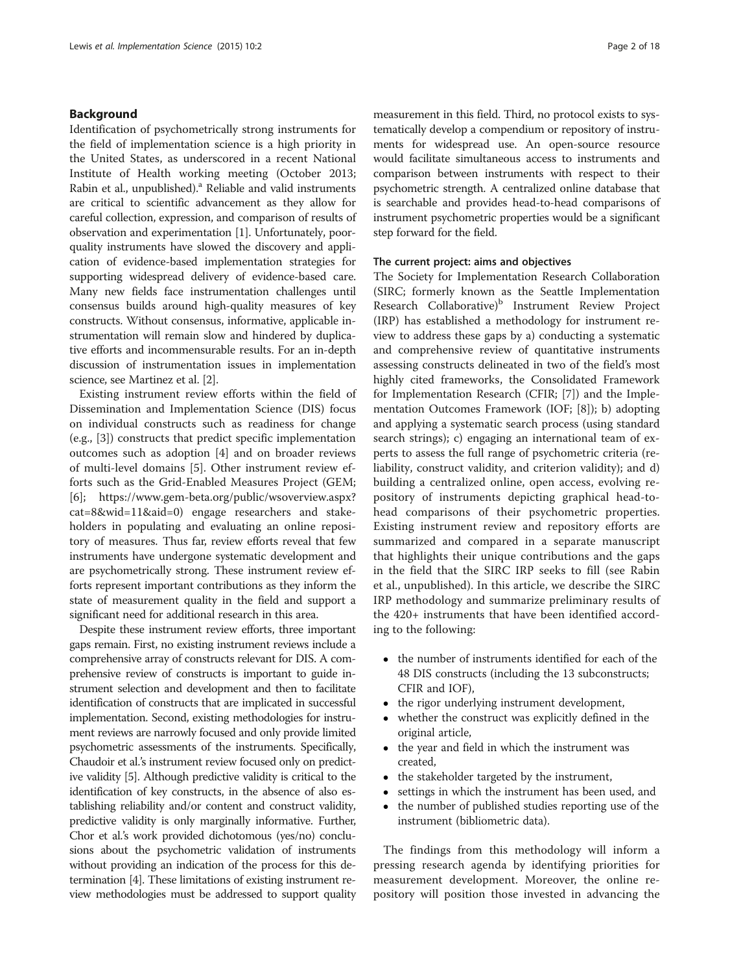## Background

Identification of psychometrically strong instruments for the field of implementation science is a high priority in the United States, as underscored in a recent National Institute of Health working meeting (October 2013; Rabin et al., unpublished).<sup>a</sup> Reliable and valid instruments are critical to scientific advancement as they allow for careful collection, expression, and comparison of results of observation and experimentation [\[1\]](#page-17-0). Unfortunately, poorquality instruments have slowed the discovery and application of evidence-based implementation strategies for supporting widespread delivery of evidence-based care. Many new fields face instrumentation challenges until consensus builds around high-quality measures of key constructs. Without consensus, informative, applicable instrumentation will remain slow and hindered by duplicative efforts and incommensurable results. For an in-depth discussion of instrumentation issues in implementation science, see Martinez et al. [\[2](#page-17-0)].

Existing instrument review efforts within the field of Dissemination and Implementation Science (DIS) focus on individual constructs such as readiness for change (e.g., [[3\]](#page-17-0)) constructs that predict specific implementation outcomes such as adoption [[4\]](#page-17-0) and on broader reviews of multi-level domains [\[5\]](#page-17-0). Other instrument review efforts such as the Grid-Enabled Measures Project (GEM; [[6\]](#page-17-0); [https://www.gem-beta.org/public/wsoverview.aspx?](https://www.gem-beta.org/public/wsoverview.aspx?cat=8&wid=11&aid=0) [cat=8&wid=11&aid=0\)](https://www.gem-beta.org/public/wsoverview.aspx?cat=8&wid=11&aid=0) engage researchers and stakeholders in populating and evaluating an online repository of measures. Thus far, review efforts reveal that few instruments have undergone systematic development and are psychometrically strong. These instrument review efforts represent important contributions as they inform the state of measurement quality in the field and support a significant need for additional research in this area.

Despite these instrument review efforts, three important gaps remain. First, no existing instrument reviews include a comprehensive array of constructs relevant for DIS. A comprehensive review of constructs is important to guide instrument selection and development and then to facilitate identification of constructs that are implicated in successful implementation. Second, existing methodologies for instrument reviews are narrowly focused and only provide limited psychometric assessments of the instruments. Specifically, Chaudoir et al.'s instrument review focused only on predictive validity [\[5](#page-17-0)]. Although predictive validity is critical to the identification of key constructs, in the absence of also establishing reliability and/or content and construct validity, predictive validity is only marginally informative. Further, Chor et al.'s work provided dichotomous (yes/no) conclusions about the psychometric validation of instruments without providing an indication of the process for this determination [\[4](#page-17-0)]. These limitations of existing instrument review methodologies must be addressed to support quality

measurement in this field. Third, no protocol exists to systematically develop a compendium or repository of instruments for widespread use. An open-source resource would facilitate simultaneous access to instruments and comparison between instruments with respect to their psychometric strength. A centralized online database that is searchable and provides head-to-head comparisons of instrument psychometric properties would be a significant step forward for the field.

#### The current project: aims and objectives

The Society for Implementation Research Collaboration (SIRC; formerly known as the Seattle Implementation Research Collaborative)<sup>b</sup> Instrument Review Project (IRP) has established a methodology for instrument review to address these gaps by a) conducting a systematic and comprehensive review of quantitative instruments assessing constructs delineated in two of the field's most highly cited frameworks, the Consolidated Framework for Implementation Research (CFIR; [[7\]](#page-17-0)) and the Implementation Outcomes Framework (IOF; [[8\]](#page-17-0)); b) adopting and applying a systematic search process (using standard search strings); c) engaging an international team of experts to assess the full range of psychometric criteria (reliability, construct validity, and criterion validity); and d) building a centralized online, open access, evolving repository of instruments depicting graphical head-tohead comparisons of their psychometric properties. Existing instrument review and repository efforts are summarized and compared in a separate manuscript that highlights their unique contributions and the gaps in the field that the SIRC IRP seeks to fill (see Rabin et al., unpublished). In this article, we describe the SIRC IRP methodology and summarize preliminary results of the 420+ instruments that have been identified according to the following:

- the number of instruments identified for each of the 48 DIS constructs (including the 13 subconstructs; CFIR and IOF),
- the rigor underlying instrument development,
- whether the construct was explicitly defined in the original article,
- the year and field in which the instrument was created,
- the stakeholder targeted by the instrument,
- settings in which the instrument has been used, and
- the number of published studies reporting use of the instrument (bibliometric data).

The findings from this methodology will inform a pressing research agenda by identifying priorities for measurement development. Moreover, the online repository will position those invested in advancing the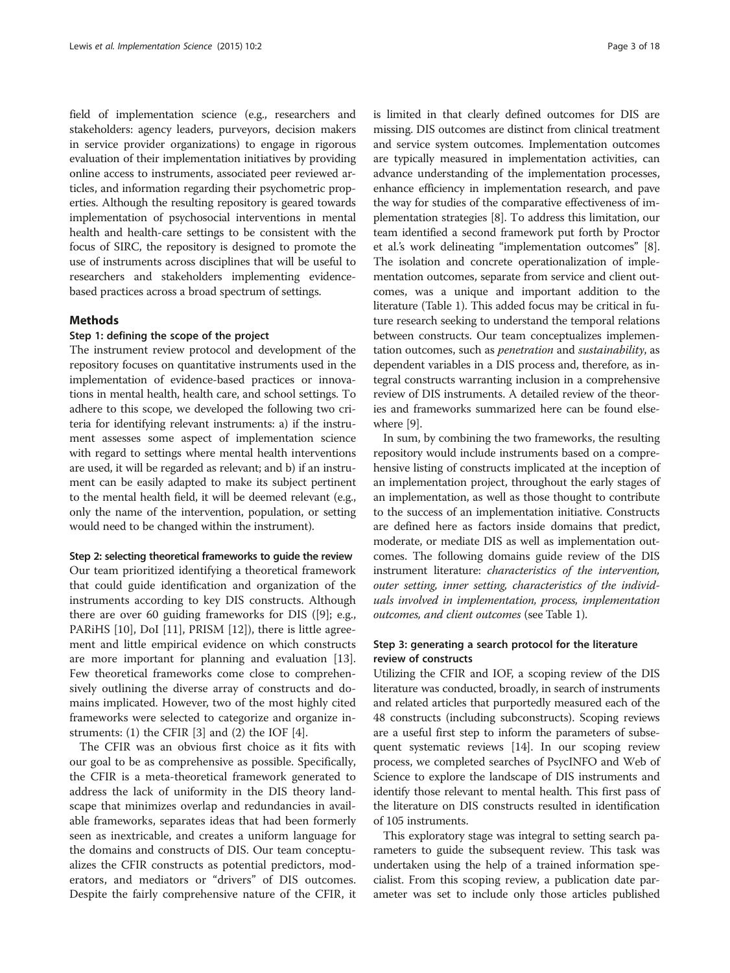<span id="page-2-0"></span>field of implementation science (e.g., researchers and stakeholders: agency leaders, purveyors, decision makers in service provider organizations) to engage in rigorous evaluation of their implementation initiatives by providing online access to instruments, associated peer reviewed articles, and information regarding their psychometric properties. Although the resulting repository is geared towards implementation of psychosocial interventions in mental health and health-care settings to be consistent with the focus of SIRC, the repository is designed to promote the use of instruments across disciplines that will be useful to researchers and stakeholders implementing evidencebased practices across a broad spectrum of settings.

#### Methods

#### Step 1: defining the scope of the project

The instrument review protocol and development of the repository focuses on quantitative instruments used in the implementation of evidence-based practices or innovations in mental health, health care, and school settings. To adhere to this scope, we developed the following two criteria for identifying relevant instruments: a) if the instrument assesses some aspect of implementation science with regard to settings where mental health interventions are used, it will be regarded as relevant; and b) if an instrument can be easily adapted to make its subject pertinent to the mental health field, it will be deemed relevant (e.g., only the name of the intervention, population, or setting would need to be changed within the instrument).

#### Step 2: selecting theoretical frameworks to guide the review

Our team prioritized identifying a theoretical framework that could guide identification and organization of the instruments according to key DIS constructs. Although there are over 60 guiding frameworks for DIS ([[9\]](#page-17-0); e.g., PARiHS [\[10\]](#page-17-0), DoI [[11\]](#page-17-0), PRISM [\[12](#page-17-0)]), there is little agreement and little empirical evidence on which constructs are more important for planning and evaluation [\[13](#page-17-0)]. Few theoretical frameworks come close to comprehensively outlining the diverse array of constructs and domains implicated. However, two of the most highly cited frameworks were selected to categorize and organize instruments:  $(1)$  the CFIR  $[3]$  and  $(2)$  the IOF  $[4]$  $[4]$ .

The CFIR was an obvious first choice as it fits with our goal to be as comprehensive as possible. Specifically, the CFIR is a meta-theoretical framework generated to address the lack of uniformity in the DIS theory landscape that minimizes overlap and redundancies in available frameworks, separates ideas that had been formerly seen as inextricable, and creates a uniform language for the domains and constructs of DIS. Our team conceptualizes the CFIR constructs as potential predictors, moderators, and mediators or "drivers" of DIS outcomes. Despite the fairly comprehensive nature of the CFIR, it is limited in that clearly defined outcomes for DIS are missing. DIS outcomes are distinct from clinical treatment and service system outcomes. Implementation outcomes are typically measured in implementation activities, can advance understanding of the implementation processes, enhance efficiency in implementation research, and pave the way for studies of the comparative effectiveness of implementation strategies [[8](#page-17-0)]. To address this limitation, our team identified a second framework put forth by Proctor et al.'s work delineating "implementation outcomes" [[8](#page-17-0)]. The isolation and concrete operationalization of implementation outcomes, separate from service and client outcomes, was a unique and important addition to the literature (Table [1](#page-3-0)). This added focus may be critical in future research seeking to understand the temporal relations between constructs. Our team conceptualizes implementation outcomes, such as penetration and sustainability, as dependent variables in a DIS process and, therefore, as integral constructs warranting inclusion in a comprehensive review of DIS instruments. A detailed review of the theories and frameworks summarized here can be found elsewhere [[9](#page-17-0)].

In sum, by combining the two frameworks, the resulting repository would include instruments based on a comprehensive listing of constructs implicated at the inception of an implementation project, throughout the early stages of an implementation, as well as those thought to contribute to the success of an implementation initiative. Constructs are defined here as factors inside domains that predict, moderate, or mediate DIS as well as implementation outcomes. The following domains guide review of the DIS instrument literature: characteristics of the intervention, outer setting, inner setting, characteristics of the individuals involved in implementation, process, implementation outcomes, and client outcomes (see Table [1](#page-3-0)).

## Step 3: generating a search protocol for the literature review of constructs

Utilizing the CFIR and IOF, a scoping review of the DIS literature was conducted, broadly, in search of instruments and related articles that purportedly measured each of the 48 constructs (including subconstructs). Scoping reviews are a useful first step to inform the parameters of subsequent systematic reviews [\[14\]](#page-17-0). In our scoping review process, we completed searches of PsycINFO and Web of Science to explore the landscape of DIS instruments and identify those relevant to mental health. This first pass of the literature on DIS constructs resulted in identification of 105 instruments.

This exploratory stage was integral to setting search parameters to guide the subsequent review. This task was undertaken using the help of a trained information specialist. From this scoping review, a publication date parameter was set to include only those articles published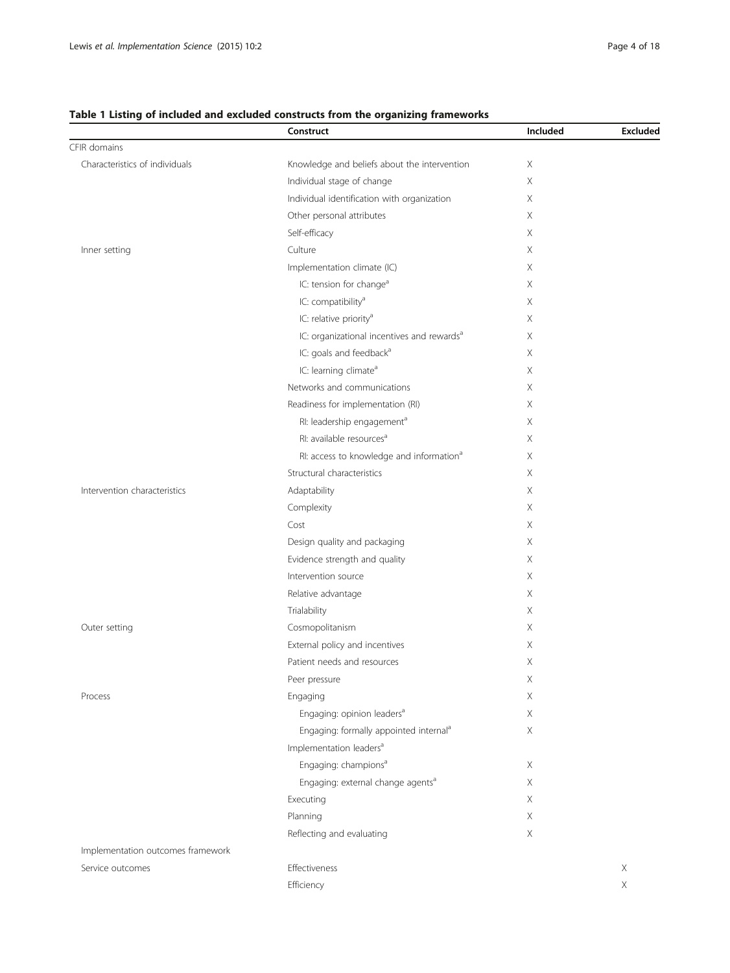# Construct Included Excluded CFIR domains Characteristics of individuals Knowledge and beliefs about the intervention X Individual stage of change **X** Individual identification with organization X Other personal attributes X Self-efficacy X Inner setting Culture X Implementation climate (IC) X IC: tension for change<sup>a</sup> X IC: compatibilitya X IC: relative prioritya X IC: organizational incentives and rewards<sup>a</sup> X  $IC:$  goals and feedback<sup>a</sup>  $X$ IC: learning climate<sup>a</sup> X Networks and communications X Readiness for implementation (RI) X RI: leadership engagement<sup>a</sup> X RI: available resources<sup>a</sup> X RI: access to knowledge and information $\alpha$  X Structural characteristics X Intervention characteristics **Adaptability** Adaptability X Complexity X Cost X Design quality and packaging values of the X Evidence strength and quality X Intervention source X Relative advantage XX Trialability X Outer setting Cosmopolitanism X External policy and incentives X Patient needs and resources X Peer pressure XX Process and the contract of the engaging the contract of the contract of the contract of the contract of the contract of the contract of the contract of the contract of the contract of the contract of the contract of the c Engaging: opinion leaders<sup>a</sup> X Engaging: formally appointed internal<sup>a</sup> X Implementation leaders<sup>a</sup> Engaging: champions<sup>a</sup> X Engaging: external change agents<sup>a</sup> X Executing X Planning X Reflecting and evaluating X Implementation outcomes framework Service outcomes Effectiveness X

Efficiency X

## <span id="page-3-0"></span>Table 1 Listing of included and excluded constructs from the organizing frameworks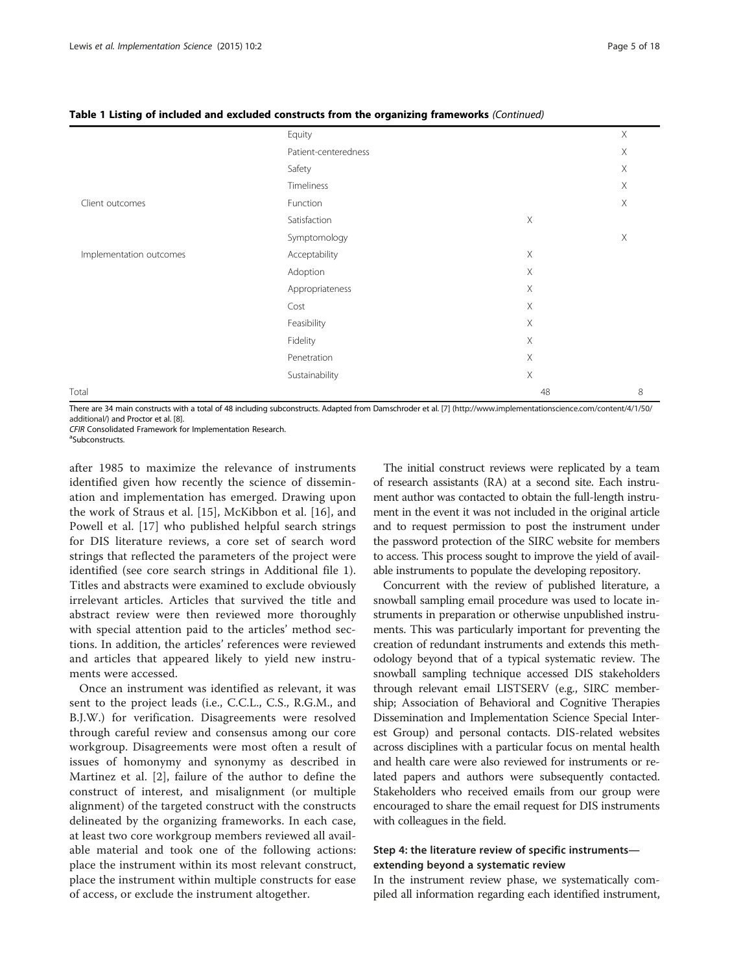|                         | Equity               |             | X                     |
|-------------------------|----------------------|-------------|-----------------------|
|                         | Patient-centeredness |             | $\mathsf X$           |
|                         | Safety               |             | $\mathsf X$           |
|                         | Timeliness           |             | $\mathsf X$           |
| Client outcomes         | Function             |             | $\boldsymbol{\times}$ |
|                         | Satisfaction         | $\mathsf X$ |                       |
|                         | Symptomology         |             | $\mathsf X$           |
| Implementation outcomes | Acceptability        | X           |                       |
|                         | Adoption             | $\mathsf X$ |                       |
|                         | Appropriateness      | $\mathsf X$ |                       |
|                         | Cost                 | X           |                       |
|                         | Feasibility          | $\mathsf X$ |                       |
|                         | Fidelity             | $\mathsf X$ |                       |
|                         | Penetration          | $\mathsf X$ |                       |
|                         | Sustainability       | $\mathsf X$ |                       |
| Total                   |                      | 48          | 8                     |

Table 1 Listing of included and excluded constructs from the organizing frameworks (Continued)

There are 34 main constructs with a total of 48 including subconstructs. Adapted from Damschroder et al. [\[7](#page-17-0)] [\(http://www.implementationscience.com/content/4/1/50/](http://www.implementationscience.com/content/4/1/50/additional/) [additional/](http://www.implementationscience.com/content/4/1/50/additional/)) and Proctor et al. [[8](#page-17-0)].

CFIR Consolidated Framework for Implementation Research.

a<sub>Subconstructs</sub>

after 1985 to maximize the relevance of instruments identified given how recently the science of dissemination and implementation has emerged. Drawing upon the work of Straus et al. [\[15](#page-17-0)], McKibbon et al. [[16\]](#page-17-0), and Powell et al. [[17\]](#page-17-0) who published helpful search strings for DIS literature reviews, a core set of search word strings that reflected the parameters of the project were identified (see core search strings in Additional file [1](#page-16-0)). Titles and abstracts were examined to exclude obviously irrelevant articles. Articles that survived the title and abstract review were then reviewed more thoroughly with special attention paid to the articles' method sections. In addition, the articles' references were reviewed and articles that appeared likely to yield new instruments were accessed.

Once an instrument was identified as relevant, it was sent to the project leads (i.e., C.C.L., C.S., R.G.M., and B.J.W.) for verification. Disagreements were resolved through careful review and consensus among our core workgroup. Disagreements were most often a result of issues of homonymy and synonymy as described in Martinez et al. [[2\]](#page-17-0), failure of the author to define the construct of interest, and misalignment (or multiple alignment) of the targeted construct with the constructs delineated by the organizing frameworks. In each case, at least two core workgroup members reviewed all available material and took one of the following actions: place the instrument within its most relevant construct, place the instrument within multiple constructs for ease of access, or exclude the instrument altogether.

The initial construct reviews were replicated by a team of research assistants (RA) at a second site. Each instrument author was contacted to obtain the full-length instrument in the event it was not included in the original article and to request permission to post the instrument under the password protection of the SIRC website for members to access. This process sought to improve the yield of available instruments to populate the developing repository.

Concurrent with the review of published literature, a snowball sampling email procedure was used to locate instruments in preparation or otherwise unpublished instruments. This was particularly important for preventing the creation of redundant instruments and extends this methodology beyond that of a typical systematic review. The snowball sampling technique accessed DIS stakeholders through relevant email LISTSERV (e.g., SIRC membership; Association of Behavioral and Cognitive Therapies Dissemination and Implementation Science Special Interest Group) and personal contacts. DIS-related websites across disciplines with a particular focus on mental health and health care were also reviewed for instruments or related papers and authors were subsequently contacted. Stakeholders who received emails from our group were encouraged to share the email request for DIS instruments with colleagues in the field.

## Step 4: the literature review of specific instruments extending beyond a systematic review

In the instrument review phase, we systematically compiled all information regarding each identified instrument,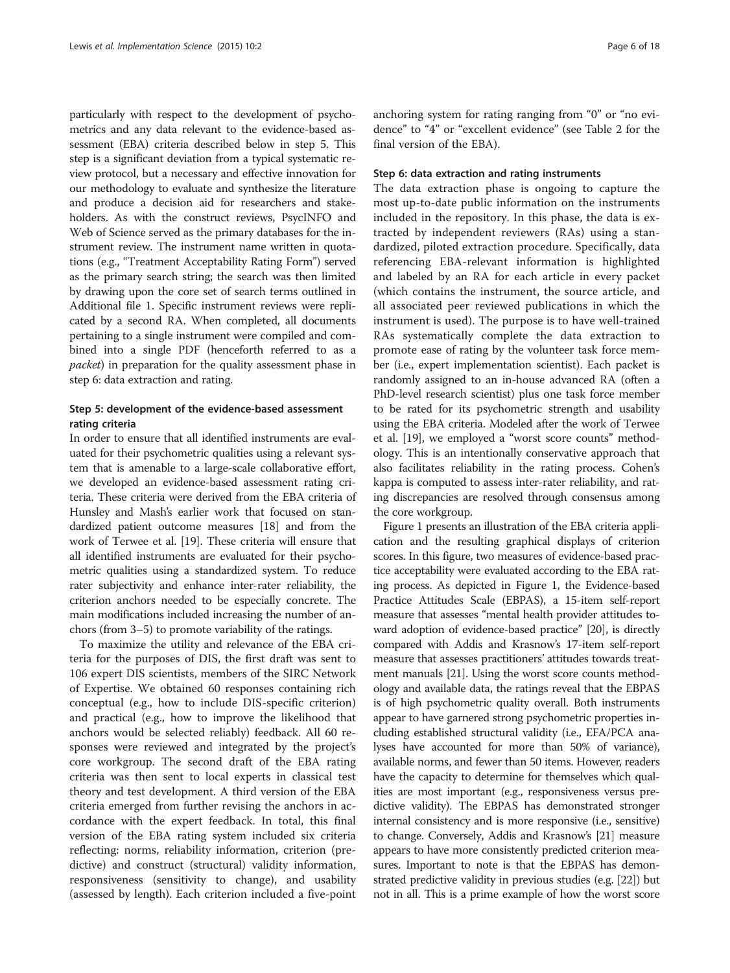particularly with respect to the development of psychometrics and any data relevant to the evidence-based assessment (EBA) criteria described below in step 5. This step is a significant deviation from a typical systematic review protocol, but a necessary and effective innovation for our methodology to evaluate and synthesize the literature and produce a decision aid for researchers and stakeholders. As with the construct reviews, PsycINFO and Web of Science served as the primary databases for the instrument review. The instrument name written in quotations (e.g., "Treatment Acceptability Rating Form") served as the primary search string; the search was then limited by drawing upon the core set of search terms outlined in Additional file [1.](#page-16-0) Specific instrument reviews were replicated by a second RA. When completed, all documents pertaining to a single instrument were compiled and combined into a single PDF (henceforth referred to as a packet) in preparation for the quality assessment phase in step 6: data extraction and rating.

## Step 5: development of the evidence-based assessment rating criteria

In order to ensure that all identified instruments are evaluated for their psychometric qualities using a relevant system that is amenable to a large-scale collaborative effort, we developed an evidence-based assessment rating criteria. These criteria were derived from the EBA criteria of Hunsley and Mash's earlier work that focused on standardized patient outcome measures [\[18\]](#page-17-0) and from the work of Terwee et al. [[19](#page-17-0)]. These criteria will ensure that all identified instruments are evaluated for their psychometric qualities using a standardized system. To reduce rater subjectivity and enhance inter-rater reliability, the criterion anchors needed to be especially concrete. The main modifications included increasing the number of anchors (from 3–5) to promote variability of the ratings.

To maximize the utility and relevance of the EBA criteria for the purposes of DIS, the first draft was sent to 106 expert DIS scientists, members of the SIRC Network of Expertise. We obtained 60 responses containing rich conceptual (e.g., how to include DIS-specific criterion) and practical (e.g., how to improve the likelihood that anchors would be selected reliably) feedback. All 60 responses were reviewed and integrated by the project's core workgroup. The second draft of the EBA rating criteria was then sent to local experts in classical test theory and test development. A third version of the EBA criteria emerged from further revising the anchors in accordance with the expert feedback. In total, this final version of the EBA rating system included six criteria reflecting: norms, reliability information, criterion (predictive) and construct (structural) validity information, responsiveness (sensitivity to change), and usability (assessed by length). Each criterion included a five-point

anchoring system for rating ranging from "0" or "no evidence" to "4" or "excellent evidence" (see Table [2](#page-6-0) for the final version of the EBA).

#### Step 6: data extraction and rating instruments

The data extraction phase is ongoing to capture the most up-to-date public information on the instruments included in the repository. In this phase, the data is extracted by independent reviewers (RAs) using a standardized, piloted extraction procedure. Specifically, data referencing EBA-relevant information is highlighted and labeled by an RA for each article in every packet (which contains the instrument, the source article, and all associated peer reviewed publications in which the instrument is used). The purpose is to have well-trained RAs systematically complete the data extraction to promote ease of rating by the volunteer task force member (i.e., expert implementation scientist). Each packet is randomly assigned to an in-house advanced RA (often a PhD-level research scientist) plus one task force member to be rated for its psychometric strength and usability using the EBA criteria. Modeled after the work of Terwee et al. [[19](#page-17-0)], we employed a "worst score counts" methodology. This is an intentionally conservative approach that also facilitates reliability in the rating process. Cohen's kappa is computed to assess inter-rater reliability, and rating discrepancies are resolved through consensus among the core workgroup.

Figure [1](#page-7-0) presents an illustration of the EBA criteria application and the resulting graphical displays of criterion scores. In this figure, two measures of evidence-based practice acceptability were evaluated according to the EBA rating process. As depicted in Figure [1,](#page-7-0) the Evidence-based Practice Attitudes Scale (EBPAS), a 15-item self-report measure that assesses "mental health provider attitudes toward adoption of evidence-based practice" [[20](#page-17-0)], is directly compared with Addis and Krasnow's 17-item self-report measure that assesses practitioners' attitudes towards treatment manuals [\[21\]](#page-17-0). Using the worst score counts methodology and available data, the ratings reveal that the EBPAS is of high psychometric quality overall. Both instruments appear to have garnered strong psychometric properties including established structural validity (i.e., EFA/PCA analyses have accounted for more than 50% of variance), available norms, and fewer than 50 items. However, readers have the capacity to determine for themselves which qualities are most important (e.g., responsiveness versus predictive validity). The EBPAS has demonstrated stronger internal consistency and is more responsive (i.e., sensitive) to change. Conversely, Addis and Krasnow's [\[21\]](#page-17-0) measure appears to have more consistently predicted criterion measures. Important to note is that the EBPAS has demonstrated predictive validity in previous studies (e.g. [[22](#page-17-0)]) but not in all. This is a prime example of how the worst score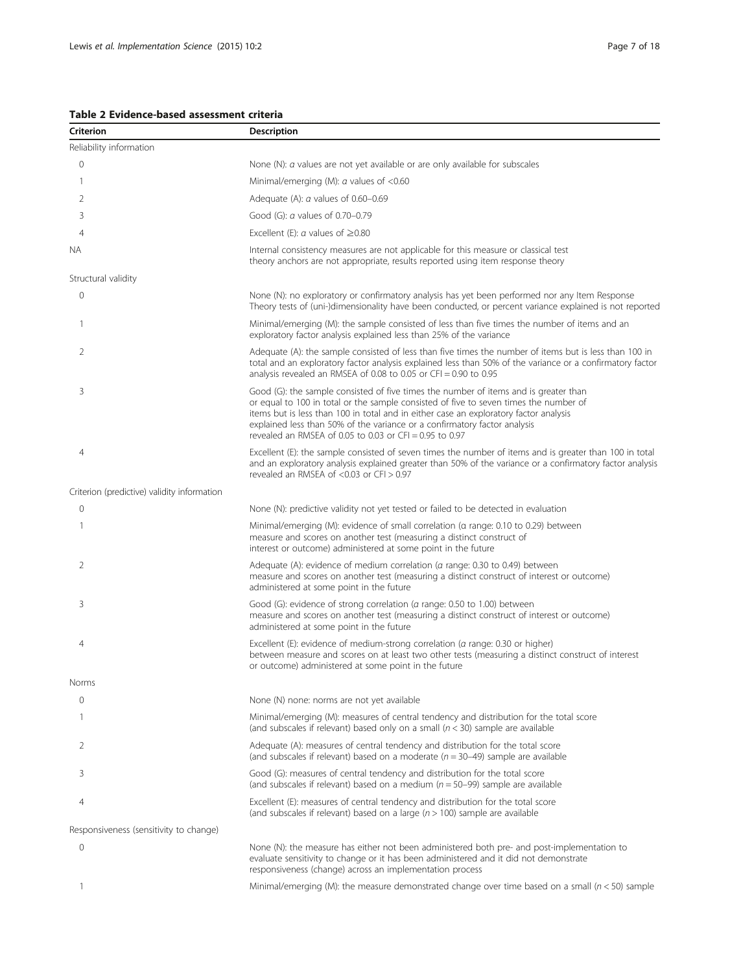## <span id="page-6-0"></span>Table 2 Evidence-based assessment criteria

| Criterion                                   | <b>Description</b>                                                                                                                                                                                                                                                                                                                                                                                               |
|---------------------------------------------|------------------------------------------------------------------------------------------------------------------------------------------------------------------------------------------------------------------------------------------------------------------------------------------------------------------------------------------------------------------------------------------------------------------|
| Reliability information                     |                                                                                                                                                                                                                                                                                                                                                                                                                  |
| 0                                           | None (N): $\alpha$ values are not yet available or are only available for subscales                                                                                                                                                                                                                                                                                                                              |
| 1                                           | Minimal/emerging (M): $\alpha$ values of <0.60                                                                                                                                                                                                                                                                                                                                                                   |
| 2                                           | Adequate (A): $\alpha$ values of 0.60-0.69                                                                                                                                                                                                                                                                                                                                                                       |
| 3                                           | Good (G): a values of 0.70-0.79                                                                                                                                                                                                                                                                                                                                                                                  |
| 4                                           | Excellent (E): $\alpha$ values of $\geq$ 0.80                                                                                                                                                                                                                                                                                                                                                                    |
| ΝA                                          | Internal consistency measures are not applicable for this measure or classical test<br>theory anchors are not appropriate, results reported using item response theory                                                                                                                                                                                                                                           |
| Structural validity                         |                                                                                                                                                                                                                                                                                                                                                                                                                  |
| 0                                           | None (N): no exploratory or confirmatory analysis has yet been performed nor any Item Response<br>Theory tests of (uni-)dimensionality have been conducted, or percent variance explained is not reported                                                                                                                                                                                                        |
| 1                                           | Minimal/emerging (M): the sample consisted of less than five times the number of items and an<br>exploratory factor analysis explained less than 25% of the variance                                                                                                                                                                                                                                             |
| 2                                           | Adequate (A): the sample consisted of less than five times the number of items but is less than 100 in<br>total and an exploratory factor analysis explained less than 50% of the variance or a confirmatory factor<br>analysis revealed an RMSEA of 0.08 to 0.05 or $CFI = 0.90$ to 0.95                                                                                                                        |
| 3                                           | Good (G): the sample consisted of five times the number of items and is greater than<br>or equal to 100 in total or the sample consisted of five to seven times the number of<br>items but is less than 100 in total and in either case an exploratory factor analysis<br>explained less than 50% of the variance or a confirmatory factor analysis<br>revealed an RMSEA of 0.05 to 0.03 or $CFI = 0.95$ to 0.97 |
| 4                                           | Excellent (E): the sample consisted of seven times the number of items and is greater than 100 in total<br>and an exploratory analysis explained greater than 50% of the variance or a confirmatory factor analysis<br>revealed an RMSEA of <0.03 or CFI > 0.97                                                                                                                                                  |
| Criterion (predictive) validity information |                                                                                                                                                                                                                                                                                                                                                                                                                  |
| 0                                           | None (N): predictive validity not yet tested or failed to be detected in evaluation                                                                                                                                                                                                                                                                                                                              |
| 1                                           | Minimal/emerging (M): evidence of small correlation (a range: 0.10 to 0.29) between<br>measure and scores on another test (measuring a distinct construct of<br>interest or outcome) administered at some point in the future                                                                                                                                                                                    |
| 2                                           | Adequate (A): evidence of medium correlation ( $\alpha$ range: 0.30 to 0.49) between<br>measure and scores on another test (measuring a distinct construct of interest or outcome)<br>administered at some point in the future                                                                                                                                                                                   |
| 3                                           | Good (G): evidence of strong correlation (a range: 0.50 to 1.00) between<br>measure and scores on another test (measuring a distinct construct of interest or outcome)<br>administered at some point in the future                                                                                                                                                                                               |
| 4                                           | Excellent (E): evidence of medium-strong correlation ( $\alpha$ range: 0.30 or higher)<br>between measure and scores on at least two other tests (measuring a distinct construct of interest<br>or outcome) administered at some point in the future                                                                                                                                                             |
| Norms                                       |                                                                                                                                                                                                                                                                                                                                                                                                                  |
| $\mathbf{0}$                                | None (N) none: norms are not yet available                                                                                                                                                                                                                                                                                                                                                                       |
| 1                                           | Minimal/emerging (M): measures of central tendency and distribution for the total score<br>(and subscales if relevant) based only on a small ( $n <$ 30) sample are available                                                                                                                                                                                                                                    |
| 2                                           | Adequate (A): measures of central tendency and distribution for the total score<br>(and subscales if relevant) based on a moderate ( $n = 30-49$ ) sample are available                                                                                                                                                                                                                                          |
| 3                                           | Good (G): measures of central tendency and distribution for the total score<br>(and subscales if relevant) based on a medium ( $n = 50-99$ ) sample are available                                                                                                                                                                                                                                                |
| 4                                           | Excellent (E): measures of central tendency and distribution for the total score<br>(and subscales if relevant) based on a large ( $n > 100$ ) sample are available                                                                                                                                                                                                                                              |
| Responsiveness (sensitivity to change)      |                                                                                                                                                                                                                                                                                                                                                                                                                  |
| 0                                           | None (N): the measure has either not been administered both pre- and post-implementation to<br>evaluate sensitivity to change or it has been administered and it did not demonstrate<br>responsiveness (change) across an implementation process                                                                                                                                                                 |
| 1                                           | Minimal/emerging (M): the measure demonstrated change over time based on a small ( $n < 50$ ) sample                                                                                                                                                                                                                                                                                                             |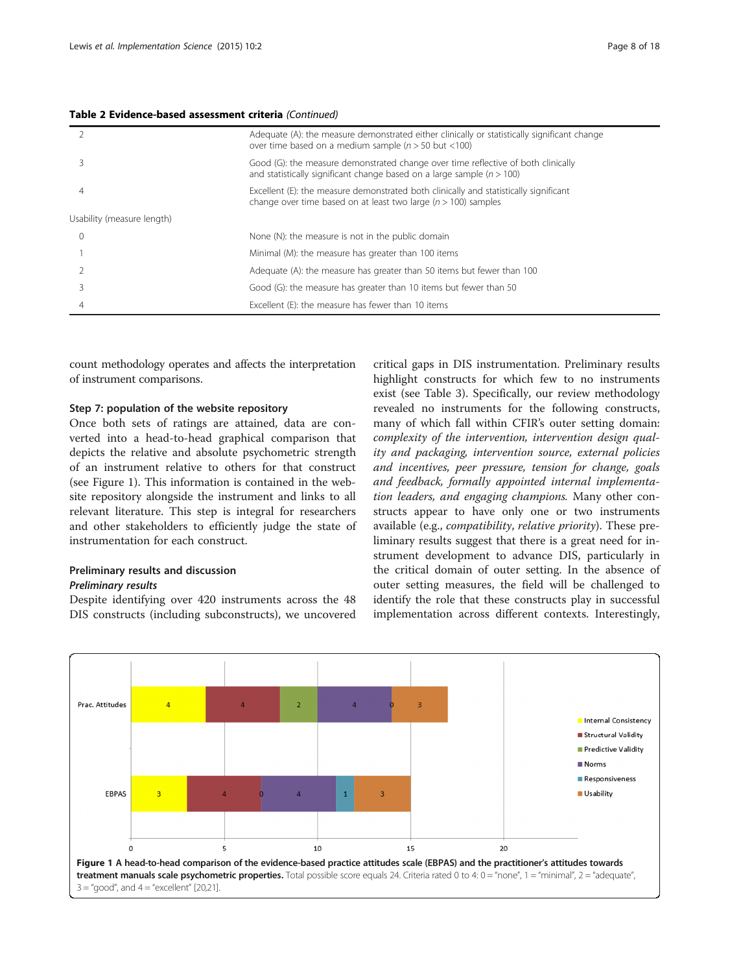#### <span id="page-7-0"></span>Table 2 Evidence-based assessment criteria (Continued)

|                            | Adequate (A): the measure demonstrated either clinically or statistically significant change<br>over time based on a medium sample ( $n > 50$ but <100)         |
|----------------------------|-----------------------------------------------------------------------------------------------------------------------------------------------------------------|
|                            | Good (G): the measure demonstrated change over time reflective of both clinically<br>and statistically significant change based on a large sample ( $n > 100$ ) |
| 4                          | Excellent (E): the measure demonstrated both clinically and statistically significant<br>change over time based on at least two large ( $n > 100$ ) samples     |
| Usability (measure length) |                                                                                                                                                                 |
| $\Omega$                   | None (N): the measure is not in the public domain                                                                                                               |
|                            | Minimal (M): the measure has greater than 100 items                                                                                                             |
|                            | Adequate (A): the measure has greater than 50 items but fewer than 100                                                                                          |
|                            | Good (G): the measure has greater than 10 items but fewer than 50                                                                                               |
|                            | Excellent (E): the measure has fewer than 10 items                                                                                                              |

count methodology operates and affects the interpretation of instrument comparisons.

## Step 7: population of the website repository

Once both sets of ratings are attained, data are converted into a head-to-head graphical comparison that depicts the relative and absolute psychometric strength of an instrument relative to others for that construct (see Figure 1). This information is contained in the website repository alongside the instrument and links to all relevant literature. This step is integral for researchers and other stakeholders to efficiently judge the state of instrumentation for each construct.

# Preliminary results and discussion

Preliminary results

Despite identifying over 420 instruments across the 48 DIS constructs (including subconstructs), we uncovered

critical gaps in DIS instrumentation. Preliminary results highlight constructs for which few to no instruments exist (see Table [3\)](#page-8-0). Specifically, our review methodology revealed no instruments for the following constructs, many of which fall within CFIR's outer setting domain: complexity of the intervention, intervention design quality and packaging, intervention source, external policies and incentives, peer pressure, tension for change, goals and feedback, formally appointed internal implementation leaders, and engaging champions. Many other constructs appear to have only one or two instruments available (e.g., compatibility, relative priority). These preliminary results suggest that there is a great need for instrument development to advance DIS, particularly in the critical domain of outer setting. In the absence of outer setting measures, the field will be challenged to identify the role that these constructs play in successful implementation across different contexts. Interestingly,

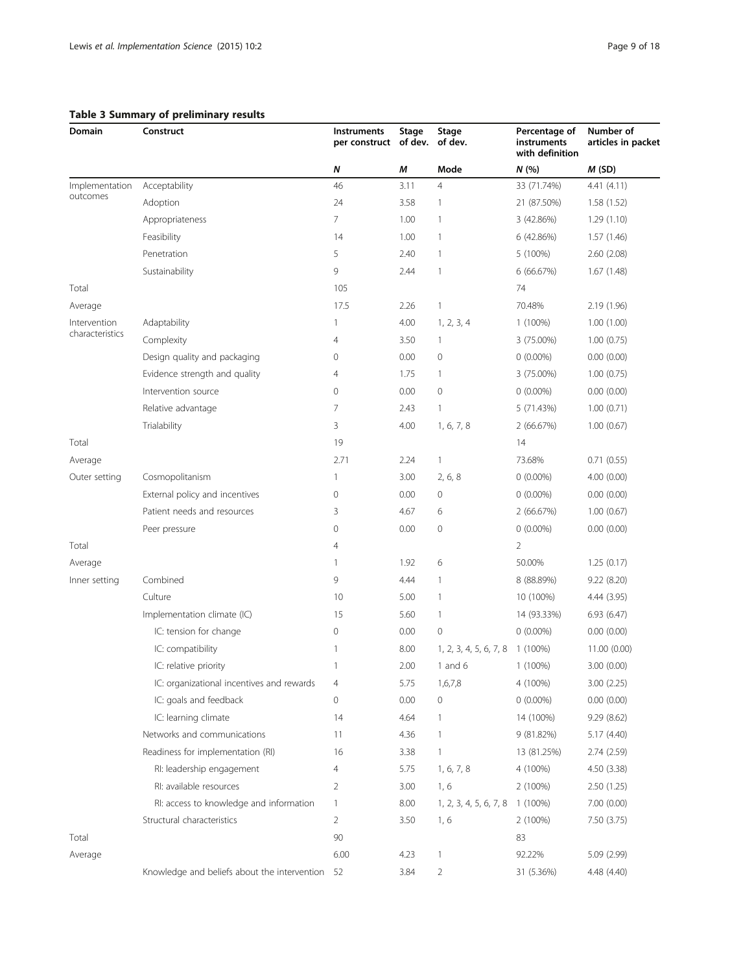## <span id="page-8-0"></span>Table 3 Summary of preliminary results

| Domain          | Construct                                       | Instruments<br>per construct                                                                                                                                                                                                                                                                                                                                                                                                                                                                                                                                                                                                                                                                                                                                                                                                                                                                                                                                                                                                                                                                                                                                                                                                                                                                                                                                                                                                                        | Stage       | Stage<br>of dev. | Percentage of<br>instruments<br>with definition | Number of<br>articles in packet |
|-----------------|-------------------------------------------------|-----------------------------------------------------------------------------------------------------------------------------------------------------------------------------------------------------------------------------------------------------------------------------------------------------------------------------------------------------------------------------------------------------------------------------------------------------------------------------------------------------------------------------------------------------------------------------------------------------------------------------------------------------------------------------------------------------------------------------------------------------------------------------------------------------------------------------------------------------------------------------------------------------------------------------------------------------------------------------------------------------------------------------------------------------------------------------------------------------------------------------------------------------------------------------------------------------------------------------------------------------------------------------------------------------------------------------------------------------------------------------------------------------------------------------------------------------|-------------|------------------|-------------------------------------------------|---------------------------------|
|                 |                                                 | Ν                                                                                                                                                                                                                                                                                                                                                                                                                                                                                                                                                                                                                                                                                                                                                                                                                                                                                                                                                                                                                                                                                                                                                                                                                                                                                                                                                                                                                                                   | М           | Mode             | N(%)                                            | M(SD)                           |
| Implementation  | Acceptability                                   | 46                                                                                                                                                                                                                                                                                                                                                                                                                                                                                                                                                                                                                                                                                                                                                                                                                                                                                                                                                                                                                                                                                                                                                                                                                                                                                                                                                                                                                                                  | 3.11        | $\overline{4}$   | 33 (71.74%)                                     | 4.41(4.11)                      |
| outcomes        | Adoption                                        | of dev.<br>24<br>3.58<br>1<br>21 (87.50%)<br>7<br>1.00<br>3 (42.86%)<br>1<br>14<br>1.00<br>1<br>6 (42.86%)<br>5<br>2.40<br>1<br>5 (100%)<br>9<br>2.44<br>1<br>6(66.67%)<br>105<br>74<br>17.5<br>2.26<br>70.48%<br>1<br>1, 2, 3, 4<br>4.00<br>$1(100\%)$<br>1<br>4<br>3.50<br>3 (75.00%)<br>1<br>$\mathbf 0$<br>0<br>0.00<br>$0(0.00\%)$<br>1.75<br>3 (75.00%)<br>4<br>1<br>$\circ$<br>0.00<br>$\mathbf{0}$<br>$0(0.00\%)$<br>7<br>2.43<br>1<br>5 (71.43%)<br>3<br>4.00<br>1, 6, 7, 8<br>2(66.67%)<br>19<br>14<br>2.71<br>73.68%<br>2.24<br>1<br>2, 6, 8<br>3.00<br>$0(0.00\%)$<br>1<br>$\mathbf 0$<br>0<br>0.00<br>$0(0.00\%)$<br>3<br>4.67<br>6<br>2(66.67%)<br>0.00<br>0<br>$0(0.00\%)$<br>$\mathbf{0}$<br>$\overline{2}$<br>4<br>1.92<br>6<br>50.00%<br>1<br>9<br>4.44<br>8 (88.89%)<br>1<br>10<br>5.00<br>1<br>10 (100%)<br>15<br>5.60<br>1<br>14 (93.33%)<br>$0(0.00\%)$<br>0<br>0.00<br>$\mathbf{0}$<br>1, 2, 3, 4, 5, 6, 7, 8<br>1<br>8.00<br>1 (100%)<br>2.00<br>$1$ and $6$<br>1<br>1 (100%)<br>4 (100%)<br>5.75<br>1,6,7,8<br>4<br>0.00<br>$0(0.00\%)$<br>0<br>0<br>14<br>4.64<br>1<br>14 (100%)<br>11<br>4.36<br>1<br>9(81.82%)<br>16<br>3.38<br>1<br>13 (81.25%)<br>1, 6, 7, 8<br>4<br>5.75<br>4 (100%)<br>1, 6<br>2 (100%)<br>2<br>3.00<br>1, 2, 3, 4, 5, 6, 7, 8<br>$\mathbf{1}$<br>8.00<br>1 (100%)<br>$\overline{2}$<br>3.50<br>1, 6<br>2 (100%)<br>90<br>83<br>6.00<br>4.23<br>92.22%<br>1<br>$\overline{2}$<br>3.84<br>31 (5.36%) | 1.58 (1.52) |                  |                                                 |                                 |
|                 | Appropriateness                                 |                                                                                                                                                                                                                                                                                                                                                                                                                                                                                                                                                                                                                                                                                                                                                                                                                                                                                                                                                                                                                                                                                                                                                                                                                                                                                                                                                                                                                                                     |             |                  |                                                 | 1.29(1.10)                      |
|                 | Feasibility                                     |                                                                                                                                                                                                                                                                                                                                                                                                                                                                                                                                                                                                                                                                                                                                                                                                                                                                                                                                                                                                                                                                                                                                                                                                                                                                                                                                                                                                                                                     |             |                  |                                                 | 1.57(1.46)                      |
|                 | Penetration                                     |                                                                                                                                                                                                                                                                                                                                                                                                                                                                                                                                                                                                                                                                                                                                                                                                                                                                                                                                                                                                                                                                                                                                                                                                                                                                                                                                                                                                                                                     |             |                  |                                                 | 2.60(2.08)                      |
|                 | Sustainability                                  |                                                                                                                                                                                                                                                                                                                                                                                                                                                                                                                                                                                                                                                                                                                                                                                                                                                                                                                                                                                                                                                                                                                                                                                                                                                                                                                                                                                                                                                     |             |                  |                                                 | 1.67(1.48)                      |
| Total           |                                                 |                                                                                                                                                                                                                                                                                                                                                                                                                                                                                                                                                                                                                                                                                                                                                                                                                                                                                                                                                                                                                                                                                                                                                                                                                                                                                                                                                                                                                                                     |             |                  |                                                 |                                 |
| Average         |                                                 |                                                                                                                                                                                                                                                                                                                                                                                                                                                                                                                                                                                                                                                                                                                                                                                                                                                                                                                                                                                                                                                                                                                                                                                                                                                                                                                                                                                                                                                     |             |                  |                                                 | 2.19 (1.96)                     |
| Intervention    | Adaptability                                    |                                                                                                                                                                                                                                                                                                                                                                                                                                                                                                                                                                                                                                                                                                                                                                                                                                                                                                                                                                                                                                                                                                                                                                                                                                                                                                                                                                                                                                                     |             |                  |                                                 | 1.00(1.00)                      |
| characteristics | Complexity                                      |                                                                                                                                                                                                                                                                                                                                                                                                                                                                                                                                                                                                                                                                                                                                                                                                                                                                                                                                                                                                                                                                                                                                                                                                                                                                                                                                                                                                                                                     |             |                  |                                                 | 1.00(0.75)                      |
|                 | Design quality and packaging                    |                                                                                                                                                                                                                                                                                                                                                                                                                                                                                                                                                                                                                                                                                                                                                                                                                                                                                                                                                                                                                                                                                                                                                                                                                                                                                                                                                                                                                                                     |             |                  |                                                 | 0.00(0.00)                      |
|                 | Evidence strength and quality                   |                                                                                                                                                                                                                                                                                                                                                                                                                                                                                                                                                                                                                                                                                                                                                                                                                                                                                                                                                                                                                                                                                                                                                                                                                                                                                                                                                                                                                                                     |             |                  |                                                 | 1.00(0.75)                      |
|                 | Intervention source                             |                                                                                                                                                                                                                                                                                                                                                                                                                                                                                                                                                                                                                                                                                                                                                                                                                                                                                                                                                                                                                                                                                                                                                                                                                                                                                                                                                                                                                                                     |             |                  |                                                 | 0.00(0.00)                      |
|                 | Relative advantage                              |                                                                                                                                                                                                                                                                                                                                                                                                                                                                                                                                                                                                                                                                                                                                                                                                                                                                                                                                                                                                                                                                                                                                                                                                                                                                                                                                                                                                                                                     |             |                  |                                                 | 1.00(0.71)                      |
|                 | Trialability                                    |                                                                                                                                                                                                                                                                                                                                                                                                                                                                                                                                                                                                                                                                                                                                                                                                                                                                                                                                                                                                                                                                                                                                                                                                                                                                                                                                                                                                                                                     |             |                  |                                                 | 1.00(0.67)                      |
| Total           |                                                 |                                                                                                                                                                                                                                                                                                                                                                                                                                                                                                                                                                                                                                                                                                                                                                                                                                                                                                                                                                                                                                                                                                                                                                                                                                                                                                                                                                                                                                                     |             |                  |                                                 |                                 |
| Average         |                                                 |                                                                                                                                                                                                                                                                                                                                                                                                                                                                                                                                                                                                                                                                                                                                                                                                                                                                                                                                                                                                                                                                                                                                                                                                                                                                                                                                                                                                                                                     |             |                  |                                                 | 0.71(0.55)                      |
| Outer setting   | Cosmopolitanism                                 |                                                                                                                                                                                                                                                                                                                                                                                                                                                                                                                                                                                                                                                                                                                                                                                                                                                                                                                                                                                                                                                                                                                                                                                                                                                                                                                                                                                                                                                     |             |                  |                                                 | 4.00(0.00)                      |
|                 | External policy and incentives                  |                                                                                                                                                                                                                                                                                                                                                                                                                                                                                                                                                                                                                                                                                                                                                                                                                                                                                                                                                                                                                                                                                                                                                                                                                                                                                                                                                                                                                                                     |             |                  |                                                 | 0.00(0.00)                      |
|                 | Patient needs and resources                     |                                                                                                                                                                                                                                                                                                                                                                                                                                                                                                                                                                                                                                                                                                                                                                                                                                                                                                                                                                                                                                                                                                                                                                                                                                                                                                                                                                                                                                                     |             |                  |                                                 | 1.00(0.67)                      |
|                 | Peer pressure                                   |                                                                                                                                                                                                                                                                                                                                                                                                                                                                                                                                                                                                                                                                                                                                                                                                                                                                                                                                                                                                                                                                                                                                                                                                                                                                                                                                                                                                                                                     |             |                  |                                                 | 0.00(0.00)                      |
| Total           |                                                 |                                                                                                                                                                                                                                                                                                                                                                                                                                                                                                                                                                                                                                                                                                                                                                                                                                                                                                                                                                                                                                                                                                                                                                                                                                                                                                                                                                                                                                                     |             |                  |                                                 |                                 |
| Average         |                                                 |                                                                                                                                                                                                                                                                                                                                                                                                                                                                                                                                                                                                                                                                                                                                                                                                                                                                                                                                                                                                                                                                                                                                                                                                                                                                                                                                                                                                                                                     |             |                  |                                                 | 1.25(0.17)                      |
| Inner setting   | Combined                                        |                                                                                                                                                                                                                                                                                                                                                                                                                                                                                                                                                                                                                                                                                                                                                                                                                                                                                                                                                                                                                                                                                                                                                                                                                                                                                                                                                                                                                                                     |             |                  |                                                 | 9.22 (8.20)                     |
|                 | Culture                                         |                                                                                                                                                                                                                                                                                                                                                                                                                                                                                                                                                                                                                                                                                                                                                                                                                                                                                                                                                                                                                                                                                                                                                                                                                                                                                                                                                                                                                                                     |             |                  |                                                 | 4.44 (3.95)                     |
|                 | Implementation climate (IC)                     |                                                                                                                                                                                                                                                                                                                                                                                                                                                                                                                                                                                                                                                                                                                                                                                                                                                                                                                                                                                                                                                                                                                                                                                                                                                                                                                                                                                                                                                     |             |                  |                                                 | 6.93(6.47)                      |
|                 | IC: tension for change                          |                                                                                                                                                                                                                                                                                                                                                                                                                                                                                                                                                                                                                                                                                                                                                                                                                                                                                                                                                                                                                                                                                                                                                                                                                                                                                                                                                                                                                                                     |             |                  |                                                 | 0.00(0.00)                      |
|                 | IC: compatibility                               |                                                                                                                                                                                                                                                                                                                                                                                                                                                                                                                                                                                                                                                                                                                                                                                                                                                                                                                                                                                                                                                                                                                                                                                                                                                                                                                                                                                                                                                     |             |                  |                                                 | 11.00 (0.00)                    |
|                 | IC: relative priority                           |                                                                                                                                                                                                                                                                                                                                                                                                                                                                                                                                                                                                                                                                                                                                                                                                                                                                                                                                                                                                                                                                                                                                                                                                                                                                                                                                                                                                                                                     |             |                  |                                                 | 3.00(0.00)                      |
|                 | IC: organizational incentives and rewards       |                                                                                                                                                                                                                                                                                                                                                                                                                                                                                                                                                                                                                                                                                                                                                                                                                                                                                                                                                                                                                                                                                                                                                                                                                                                                                                                                                                                                                                                     |             |                  |                                                 | 3.00 (2.25)                     |
|                 | IC: goals and feedback                          |                                                                                                                                                                                                                                                                                                                                                                                                                                                                                                                                                                                                                                                                                                                                                                                                                                                                                                                                                                                                                                                                                                                                                                                                                                                                                                                                                                                                                                                     |             |                  |                                                 | 0.00(0.00)                      |
|                 | IC: learning climate                            |                                                                                                                                                                                                                                                                                                                                                                                                                                                                                                                                                                                                                                                                                                                                                                                                                                                                                                                                                                                                                                                                                                                                                                                                                                                                                                                                                                                                                                                     |             |                  |                                                 | 9.29 (8.62)                     |
|                 | Networks and communications                     |                                                                                                                                                                                                                                                                                                                                                                                                                                                                                                                                                                                                                                                                                                                                                                                                                                                                                                                                                                                                                                                                                                                                                                                                                                                                                                                                                                                                                                                     |             |                  |                                                 | 5.17 (4.40)                     |
|                 | Readiness for implementation (RI)               |                                                                                                                                                                                                                                                                                                                                                                                                                                                                                                                                                                                                                                                                                                                                                                                                                                                                                                                                                                                                                                                                                                                                                                                                                                                                                                                                                                                                                                                     |             |                  |                                                 | 2.74(2.59)                      |
|                 | RI: leadership engagement                       |                                                                                                                                                                                                                                                                                                                                                                                                                                                                                                                                                                                                                                                                                                                                                                                                                                                                                                                                                                                                                                                                                                                                                                                                                                                                                                                                                                                                                                                     |             |                  |                                                 | 4.50(3.38)                      |
|                 | RI: available resources                         |                                                                                                                                                                                                                                                                                                                                                                                                                                                                                                                                                                                                                                                                                                                                                                                                                                                                                                                                                                                                                                                                                                                                                                                                                                                                                                                                                                                                                                                     |             |                  |                                                 | 2.50(1.25)                      |
|                 | RI: access to knowledge and information         |                                                                                                                                                                                                                                                                                                                                                                                                                                                                                                                                                                                                                                                                                                                                                                                                                                                                                                                                                                                                                                                                                                                                                                                                                                                                                                                                                                                                                                                     |             |                  |                                                 | 7.00 (0.00)                     |
|                 | Structural characteristics                      |                                                                                                                                                                                                                                                                                                                                                                                                                                                                                                                                                                                                                                                                                                                                                                                                                                                                                                                                                                                                                                                                                                                                                                                                                                                                                                                                                                                                                                                     |             |                  |                                                 | 7.50 (3.75)                     |
| Total           |                                                 |                                                                                                                                                                                                                                                                                                                                                                                                                                                                                                                                                                                                                                                                                                                                                                                                                                                                                                                                                                                                                                                                                                                                                                                                                                                                                                                                                                                                                                                     |             |                  |                                                 |                                 |
| Average         |                                                 |                                                                                                                                                                                                                                                                                                                                                                                                                                                                                                                                                                                                                                                                                                                                                                                                                                                                                                                                                                                                                                                                                                                                                                                                                                                                                                                                                                                                                                                     |             |                  |                                                 | 5.09 (2.99)                     |
|                 | Knowledge and beliefs about the intervention 52 |                                                                                                                                                                                                                                                                                                                                                                                                                                                                                                                                                                                                                                                                                                                                                                                                                                                                                                                                                                                                                                                                                                                                                                                                                                                                                                                                                                                                                                                     |             |                  |                                                 | 4.48 (4.40)                     |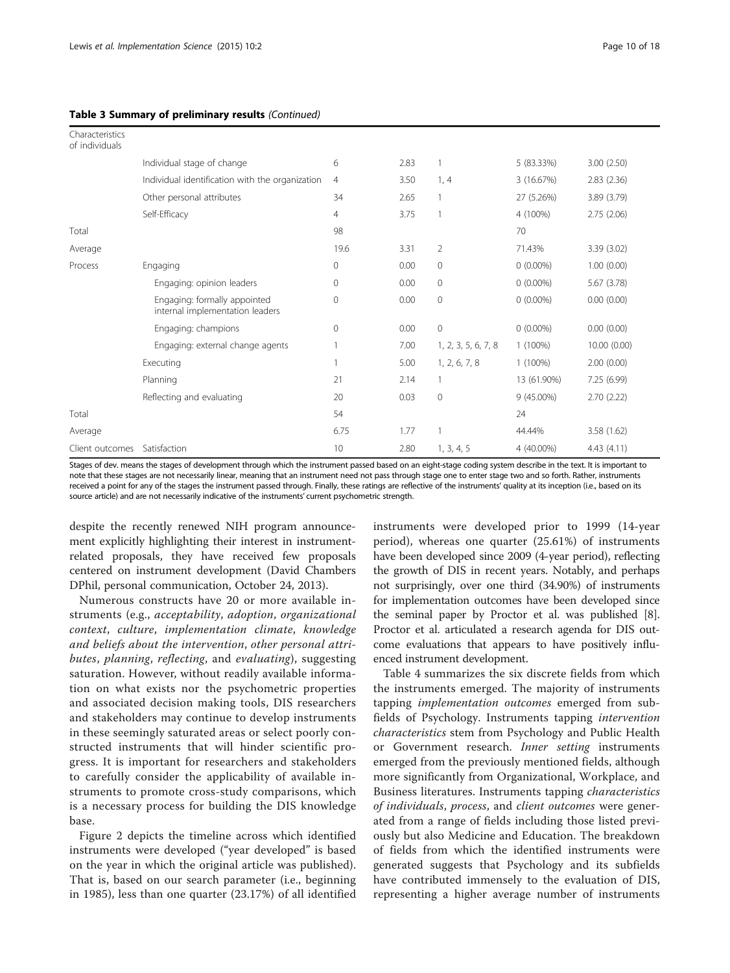#### Table 3 Summary of preliminary results (Continued)

| Characteristics<br>of individuals |                                                                 |                |      |                     |              |             |
|-----------------------------------|-----------------------------------------------------------------|----------------|------|---------------------|--------------|-------------|
|                                   | Individual stage of change                                      | 6              | 2.83 |                     | 5 (83.33%)   | 3.00(2.50)  |
|                                   | Individual identification with the organization                 | $\overline{4}$ | 3.50 | 1, 4                | 3 (16.67%)   | 2.83 (2.36) |
|                                   | Other personal attributes                                       | 34             | 2.65 | $\mathbf{1}$        | 27 (5.26%)   | 3.89 (3.79) |
|                                   | Self-Efficacy                                                   | 4              | 3.75 | $\overline{1}$      | 4 (100%)     | 2.75(2.06)  |
| Total                             |                                                                 | 98             |      |                     | 70           |             |
| Average                           |                                                                 | 19.6           | 3.31 | $\overline{2}$      | 71.43%       | 3.39 (3.02) |
| Process                           | Engaging                                                        | $\circ$        | 0.00 | $\mathbf{0}$        | $0(0.00\%)$  | 1.00(0.00)  |
|                                   | Engaging: opinion leaders                                       | 0              | 0.00 | $\mathbf 0$         | $0(0.00\%)$  | 5.67 (3.78) |
|                                   | Engaging: formally appointed<br>internal implementation leaders | 0              | 0.00 | $\mathbf{0}$        | $0(0.00\%)$  | 0.00(0.00)  |
|                                   | Engaging: champions                                             | 0              | 0.00 | $\mathbf 0$         | $0(0.00\%)$  | 0.00(0.00)  |
|                                   | Engaging: external change agents                                |                | 7.00 | 1, 2, 3, 5, 6, 7, 8 | 1 (100%)     | 10.00(0.00) |
|                                   | Executing                                                       | 1              | 5.00 | 1, 2, 6, 7, 8       | 1 (100%)     | 2.00(0.00)  |
|                                   | Planning                                                        | 21             | 2.14 |                     | 13 (61.90%)  | 7.25 (6.99) |
|                                   | Reflecting and evaluating                                       | 20             | 0.03 | $\mathbf{0}$        | $9(45.00\%)$ | 2.70(2.22)  |
| Total                             |                                                                 | 54             |      |                     | 24           |             |
| Average                           |                                                                 | 6.75           | 1.77 |                     | 44.44%       | 3.58(1.62)  |
| Client outcomes                   | Satisfaction                                                    | 10             | 2.80 | 1, 3, 4, 5          | 4 (40.00%)   | 4.43(4.11)  |

Stages of dev. means the stages of development through which the instrument passed based on an eight-stage coding system describe in the text. It is important to note that these stages are not necessarily linear, meaning that an instrument need not pass through stage one to enter stage two and so forth. Rather, instruments received a point for any of the stages the instrument passed through. Finally, these ratings are reflective of the instruments' quality at its inception (i.e., based on its source article) and are not necessarily indicative of the instruments' current psychometric strength.

despite the recently renewed NIH program announcement explicitly highlighting their interest in instrumentrelated proposals, they have received few proposals centered on instrument development (David Chambers DPhil, personal communication, October 24, 2013).

Numerous constructs have 20 or more available instruments (e.g., acceptability, adoption, organizational context, culture, implementation climate, knowledge and beliefs about the intervention, other personal attributes, planning, reflecting, and evaluating), suggesting saturation. However, without readily available information on what exists nor the psychometric properties and associated decision making tools, DIS researchers and stakeholders may continue to develop instruments in these seemingly saturated areas or select poorly constructed instruments that will hinder scientific progress. It is important for researchers and stakeholders to carefully consider the applicability of available instruments to promote cross-study comparisons, which is a necessary process for building the DIS knowledge base.

Figure [2](#page-10-0) depicts the timeline across which identified instruments were developed ("year developed" is based on the year in which the original article was published). That is, based on our search parameter (i.e., beginning in 1985), less than one quarter (23.17%) of all identified

instruments were developed prior to 1999 (14-year period), whereas one quarter (25.61%) of instruments have been developed since 2009 (4-year period), reflecting the growth of DIS in recent years. Notably, and perhaps not surprisingly, over one third (34.90%) of instruments for implementation outcomes have been developed since the seminal paper by Proctor et al. was published [[8](#page-17-0)]. Proctor et al. articulated a research agenda for DIS outcome evaluations that appears to have positively influenced instrument development.

Table [4](#page-11-0) summarizes the six discrete fields from which the instruments emerged. The majority of instruments tapping *implementation outcomes* emerged from subfields of Psychology. Instruments tapping intervention characteristics stem from Psychology and Public Health or Government research. Inner setting instruments emerged from the previously mentioned fields, although more significantly from Organizational, Workplace, and Business literatures. Instruments tapping characteristics of individuals, process, and client outcomes were generated from a range of fields including those listed previously but also Medicine and Education. The breakdown of fields from which the identified instruments were generated suggests that Psychology and its subfields have contributed immensely to the evaluation of DIS, representing a higher average number of instruments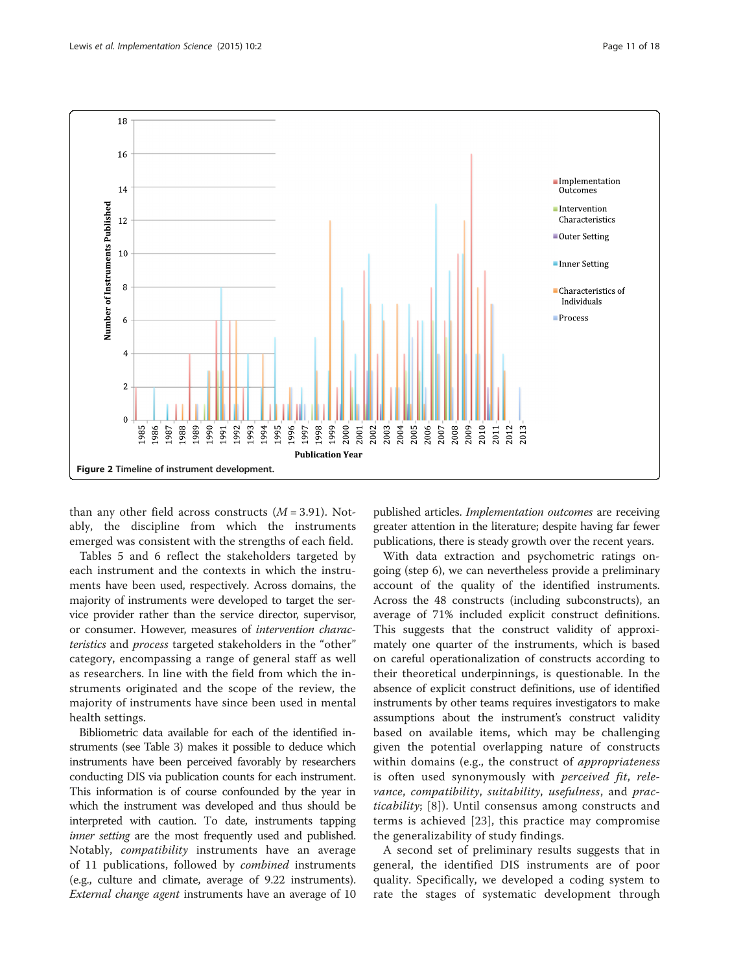<span id="page-10-0"></span>

than any other field across constructs  $(M = 3.91)$ . Notably, the discipline from which the instruments emerged was consistent with the strengths of each field.

Tables [5](#page-13-0) and [6](#page-15-0) reflect the stakeholders targeted by each instrument and the contexts in which the instruments have been used, respectively. Across domains, the majority of instruments were developed to target the service provider rather than the service director, supervisor, or consumer. However, measures of intervention characteristics and process targeted stakeholders in the "other" category, encompassing a range of general staff as well as researchers. In line with the field from which the instruments originated and the scope of the review, the majority of instruments have since been used in mental health settings.

Bibliometric data available for each of the identified instruments (see Table [3\)](#page-8-0) makes it possible to deduce which instruments have been perceived favorably by researchers conducting DIS via publication counts for each instrument. This information is of course confounded by the year in which the instrument was developed and thus should be interpreted with caution. To date, instruments tapping inner setting are the most frequently used and published. Notably, compatibility instruments have an average of 11 publications, followed by combined instruments (e.g., culture and climate, average of 9.22 instruments). External change agent instruments have an average of 10 published articles. Implementation outcomes are receiving greater attention in the literature; despite having far fewer publications, there is steady growth over the recent years.

With data extraction and psychometric ratings ongoing (step 6), we can nevertheless provide a preliminary account of the quality of the identified instruments. Across the 48 constructs (including subconstructs), an average of 71% included explicit construct definitions. This suggests that the construct validity of approximately one quarter of the instruments, which is based on careful operationalization of constructs according to their theoretical underpinnings, is questionable. In the absence of explicit construct definitions, use of identified instruments by other teams requires investigators to make assumptions about the instrument's construct validity based on available items, which may be challenging given the potential overlapping nature of constructs within domains (e.g., the construct of *appropriateness* is often used synonymously with perceived fit, relevance, compatibility, suitability, usefulness, and practicability; [[8](#page-17-0)]). Until consensus among constructs and terms is achieved [[23\]](#page-17-0), this practice may compromise the generalizability of study findings.

A second set of preliminary results suggests that in general, the identified DIS instruments are of poor quality. Specifically, we developed a coding system to rate the stages of systematic development through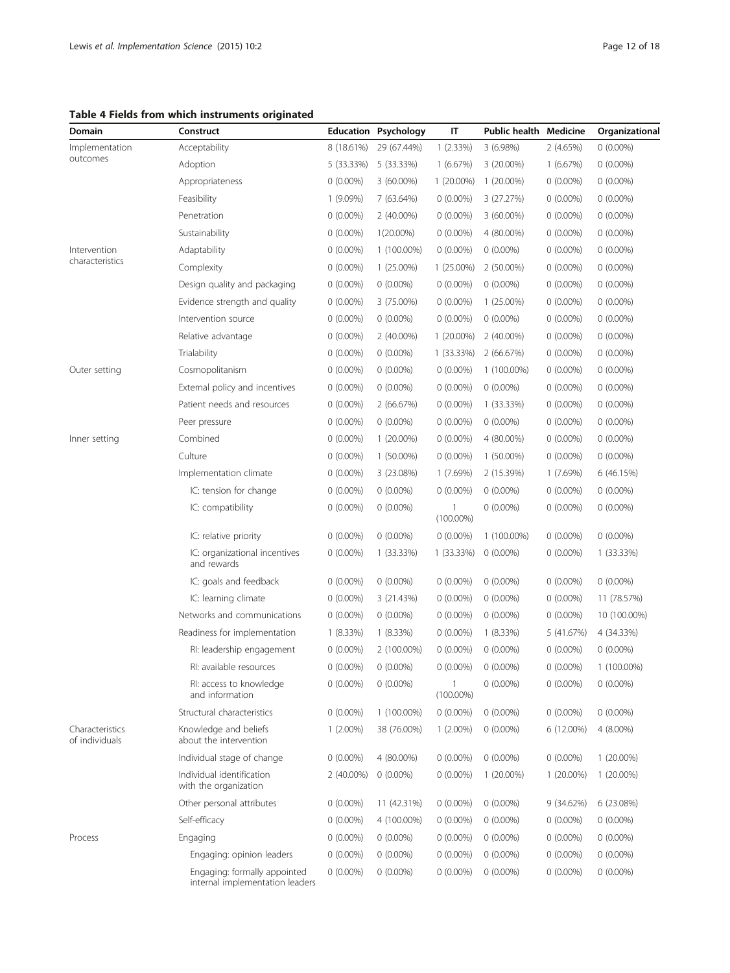## <span id="page-11-0"></span>Table 4 Fields from which instruments originated

| Domain                                                                                                            | Construct                                                       | <b>Education</b>                                                                                                                                                                                                                                                                                                                                                                                                                                                                                                                                                                                                                                                                                                                                                                                                                                                                                                                                                                                                                                                                                                                                                                                                                                                                                                                                                                                                                                                                                                                                                                                                                                                                                                                                                                                                                                                                                                                                                                                                                                                                                                                                                                                                                                    | Psychology   | $\mathsf{I}\mathsf{T}$ | <b>Public health</b> | Medicine    | Organizational |
|-------------------------------------------------------------------------------------------------------------------|-----------------------------------------------------------------|-----------------------------------------------------------------------------------------------------------------------------------------------------------------------------------------------------------------------------------------------------------------------------------------------------------------------------------------------------------------------------------------------------------------------------------------------------------------------------------------------------------------------------------------------------------------------------------------------------------------------------------------------------------------------------------------------------------------------------------------------------------------------------------------------------------------------------------------------------------------------------------------------------------------------------------------------------------------------------------------------------------------------------------------------------------------------------------------------------------------------------------------------------------------------------------------------------------------------------------------------------------------------------------------------------------------------------------------------------------------------------------------------------------------------------------------------------------------------------------------------------------------------------------------------------------------------------------------------------------------------------------------------------------------------------------------------------------------------------------------------------------------------------------------------------------------------------------------------------------------------------------------------------------------------------------------------------------------------------------------------------------------------------------------------------------------------------------------------------------------------------------------------------------------------------------------------------------------------------------------------------|--------------|------------------------|----------------------|-------------|----------------|
| Implementation                                                                                                    | Acceptability                                                   | 8 (18.61%)                                                                                                                                                                                                                                                                                                                                                                                                                                                                                                                                                                                                                                                                                                                                                                                                                                                                                                                                                                                                                                                                                                                                                                                                                                                                                                                                                                                                                                                                                                                                                                                                                                                                                                                                                                                                                                                                                                                                                                                                                                                                                                                                                                                                                                          | 29 (67.44%)  | 1(2.33%)               | 3(6.98%)             | 2(4.65%)    | $0(0.00\%)$    |
| outcomes                                                                                                          | Adoption                                                        | 5 (33.33%)                                                                                                                                                                                                                                                                                                                                                                                                                                                                                                                                                                                                                                                                                                                                                                                                                                                                                                                                                                                                                                                                                                                                                                                                                                                                                                                                                                                                                                                                                                                                                                                                                                                                                                                                                                                                                                                                                                                                                                                                                                                                                                                                                                                                                                          | 5 (33.33%)   | 1(6.67%)               | 3 (20.00%)           | 1(6.67%)    | $0(0.00\%)$    |
|                                                                                                                   | Appropriateness                                                 | $0(0.00\%)$                                                                                                                                                                                                                                                                                                                                                                                                                                                                                                                                                                                                                                                                                                                                                                                                                                                                                                                                                                                                                                                                                                                                                                                                                                                                                                                                                                                                                                                                                                                                                                                                                                                                                                                                                                                                                                                                                                                                                                                                                                                                                                                                                                                                                                         | $3(60.00\%)$ | $1(20.00\%)$           | $1(20.00\%)$         | $0(0.00\%)$ | $0(0.00\%)$    |
| Intervention<br>characteristics<br>Outer setting<br>Inner setting<br>Characteristics<br>of individuals<br>Process | Feasibility                                                     | 1(9.09%)                                                                                                                                                                                                                                                                                                                                                                                                                                                                                                                                                                                                                                                                                                                                                                                                                                                                                                                                                                                                                                                                                                                                                                                                                                                                                                                                                                                                                                                                                                                                                                                                                                                                                                                                                                                                                                                                                                                                                                                                                                                                                                                                                                                                                                            | 7 (63.64%)   | $0(0.00\%)$            | 3(27.27%)            | $0(0.00\%)$ | $0(0.00\%)$    |
|                                                                                                                   | Penetration                                                     | $0(0.00\%)$                                                                                                                                                                                                                                                                                                                                                                                                                                                                                                                                                                                                                                                                                                                                                                                                                                                                                                                                                                                                                                                                                                                                                                                                                                                                                                                                                                                                                                                                                                                                                                                                                                                                                                                                                                                                                                                                                                                                                                                                                                                                                                                                                                                                                                         | 2 (40.00%)   | $0(0.00\%)$            | 3 (60.00%)           | $0(0.00\%)$ | $0(0.00\%)$    |
|                                                                                                                   | Sustainability                                                  | $0(0.00\%)$                                                                                                                                                                                                                                                                                                                                                                                                                                                                                                                                                                                                                                                                                                                                                                                                                                                                                                                                                                                                                                                                                                                                                                                                                                                                                                                                                                                                                                                                                                                                                                                                                                                                                                                                                                                                                                                                                                                                                                                                                                                                                                                                                                                                                                         | 1(20.00%)    | $0(0.00\%)$            | 4 (80.00%)           | $0(0.00\%)$ | $0(0.00\%)$    |
|                                                                                                                   | Adaptability                                                    | $0(0.00\%)$                                                                                                                                                                                                                                                                                                                                                                                                                                                                                                                                                                                                                                                                                                                                                                                                                                                                                                                                                                                                                                                                                                                                                                                                                                                                                                                                                                                                                                                                                                                                                                                                                                                                                                                                                                                                                                                                                                                                                                                                                                                                                                                                                                                                                                         | 1 (100.00%)  | $0(0.00\%)$            | $0(0.00\%)$          | $0(0.00\%)$ | $0(0.00\%)$    |
|                                                                                                                   | Complexity                                                      | $0(0.00\%)$                                                                                                                                                                                                                                                                                                                                                                                                                                                                                                                                                                                                                                                                                                                                                                                                                                                                                                                                                                                                                                                                                                                                                                                                                                                                                                                                                                                                                                                                                                                                                                                                                                                                                                                                                                                                                                                                                                                                                                                                                                                                                                                                                                                                                                         | $1(25.00\%)$ | $1(25.00\%)$           | $2(50.00\%)$         | $0(0.00\%)$ | $0(0.00\%)$    |
|                                                                                                                   | Design quality and packaging                                    | $0(0.00\%)$                                                                                                                                                                                                                                                                                                                                                                                                                                                                                                                                                                                                                                                                                                                                                                                                                                                                                                                                                                                                                                                                                                                                                                                                                                                                                                                                                                                                                                                                                                                                                                                                                                                                                                                                                                                                                                                                                                                                                                                                                                                                                                                                                                                                                                         | $0(0.00\%)$  | $0(0.00\%)$            | $0(0.00\%)$          | $0(0.00\%)$ | $0(0.00\%)$    |
|                                                                                                                   | Evidence strength and quality                                   | $0(0.00\%)$<br>$0(0.00\%)$<br>$0(0.00\%)$<br>3 (75.00%)<br>$1(25.00\%)$<br>$0(0.00\%)$<br>$0(0.00\%)$<br>$0(0.00\%)$<br>$0(0.00\%)$<br>$0(0.00\%)$<br>$0(0.00\%)$<br>2 (40.00%)<br>$1(20.00\%)$<br>2 (40.00%)<br>$0(0.00\%)$<br>$0(0.00\%)$<br>$0(0.00\%)$<br>2(66.67%)<br>$0(0.00\%)$<br>$1(33.33\%)$<br>$0(0.00\%)$<br>$0(0.00\%)$<br>1 (100.00%)<br>$0(0.00\%)$<br>$0(0.00\%)$<br>$0(0.00\%)$<br>$0(0.00\%)$<br>$0(0.00\%)$<br>$0(0.00\%)$<br>$0(0.00\%)$<br>$0(0.00\%)$<br>$0(0.00\%)$<br>2(66.67%)<br>$0(0.00\%)$<br>1 (33.33%)<br>$0(0.00\%)$<br>$0(0.00\%)$<br>$0(0.00\%)$<br>$0(0.00\%)$<br>$0(0.00\%)$<br>$0(0.00\%)$<br>1 (20.00%)<br>$0(0.00\%)$<br>4 (80.00%)<br>$0(0.00\%)$<br>$0(0.00\%)$<br>$0(0.00\%)$<br>1 (50.00%)<br>$1(50.00\%)$<br>$0(0.00\%)$<br>$0(0.00\%)$<br>3 (23.08%)<br>1(7.69%)<br>2 (15.39%)<br>1(7.69%)<br>$0(0.00\%)$<br>$0(0.00\%)$<br>$0(0.00\%)$<br>$0(0.00\%)$<br>$0(0.00\%)$<br>$0(0.00\%)$<br>$0(0.00\%)$<br>1<br>$0(0.00\%)$<br>$0(0.00\%)$<br>$(100.00\%)$<br>$0(0.00\%)$<br>$0(0.00\%)$<br>$0(0.00\%)$<br>$0(0.00\%)$<br>1 (100.00%)<br>$0(0.00\%)$<br>1(33.33%)<br>1(33.33%)<br>$0(0.00\%)$<br>$0(0.00\%)$<br>$0(0.00\%)$<br>$0(0.00\%)$<br>$0(0.00\%)$<br>$0(0.00\%)$<br>$0(0.00\%)$<br>$0(0.00\%)$<br>$0(0.00\%)$<br>$0(0.00\%)$<br>3(21.43%)<br>$0(0.00\%)$<br>$0(0.00\%)$<br>$0(0.00\%)$<br>$0(0.00\%)$<br>$0(0.00\%)$<br>$0(0.00\%)$<br>1(8.33%)<br>$1(8.33\%)$<br>$0(0.00\%)$<br>1(8.33%)<br>5 (41.67%)<br>$0(0.00\%)$<br>2 (100.00%)<br>$0(0.00\%)$<br>$0(0.00\%)$<br>$0(0.00\%)$<br>$0(0.00\%)$<br>$0(0.00\%)$<br>$0(0.00\%)$<br>$0(0.00\%)$<br>$0(0.00\%)$<br>$0(0.00\%)$<br>$0(0.00\%)$<br>$0(0.00\%)$<br>$0(0.00\%)$<br>$\mathbf{1}$<br>$(100.00\%)$<br>$0(0.00\%)$<br>1 (100.00%)<br>$0(0.00\%)$<br>$0(0.00\%)$<br>$0(0.00\%)$<br>$1(2.00\%)$<br>$0(0.00\%)$<br>38 (76.00%)<br>$1(2.00\%)$<br>6 (12.00%)<br>$0(0.00\%)$<br>4 (80.00%)<br>$0(0.00\%)$<br>$0(0.00\%)$<br>$0(0.00\%)$<br>2 (40.00%)<br>$0(0.00\%)$<br>$0(0.00\%)$<br>$1(20.00\%)$<br>$1(20.00\%)$<br>$0(0.00\%)$<br>11 (42.31%)<br>$0(0.00\%)$<br>$0(0.00\%)$<br>9(34.62%)<br>$0(0.00\%)$<br>4 (100.00%)<br>$0(0.00\%)$<br>$0(0.00\%)$<br>$0(0.00\%)$<br>$0(0.00\%)$<br>$0(0.00\%)$<br>$0(0.00\%)$<br>$0(0.00\%)$<br>$0(0.00\%)$ | $0(0.00\%)$  |                        |                      |             |                |
|                                                                                                                   | Intervention source                                             |                                                                                                                                                                                                                                                                                                                                                                                                                                                                                                                                                                                                                                                                                                                                                                                                                                                                                                                                                                                                                                                                                                                                                                                                                                                                                                                                                                                                                                                                                                                                                                                                                                                                                                                                                                                                                                                                                                                                                                                                                                                                                                                                                                                                                                                     |              |                        |                      |             | $0(0.00\%)$    |
|                                                                                                                   | Relative advantage                                              |                                                                                                                                                                                                                                                                                                                                                                                                                                                                                                                                                                                                                                                                                                                                                                                                                                                                                                                                                                                                                                                                                                                                                                                                                                                                                                                                                                                                                                                                                                                                                                                                                                                                                                                                                                                                                                                                                                                                                                                                                                                                                                                                                                                                                                                     |              |                        |                      |             | $0(0.00\%)$    |
|                                                                                                                   | Trialability                                                    |                                                                                                                                                                                                                                                                                                                                                                                                                                                                                                                                                                                                                                                                                                                                                                                                                                                                                                                                                                                                                                                                                                                                                                                                                                                                                                                                                                                                                                                                                                                                                                                                                                                                                                                                                                                                                                                                                                                                                                                                                                                                                                                                                                                                                                                     |              |                        |                      |             | $0(0.00\%)$    |
|                                                                                                                   | Cosmopolitanism                                                 |                                                                                                                                                                                                                                                                                                                                                                                                                                                                                                                                                                                                                                                                                                                                                                                                                                                                                                                                                                                                                                                                                                                                                                                                                                                                                                                                                                                                                                                                                                                                                                                                                                                                                                                                                                                                                                                                                                                                                                                                                                                                                                                                                                                                                                                     |              |                        |                      |             | $0(0.00\%)$    |
|                                                                                                                   | External policy and incentives                                  |                                                                                                                                                                                                                                                                                                                                                                                                                                                                                                                                                                                                                                                                                                                                                                                                                                                                                                                                                                                                                                                                                                                                                                                                                                                                                                                                                                                                                                                                                                                                                                                                                                                                                                                                                                                                                                                                                                                                                                                                                                                                                                                                                                                                                                                     |              |                        |                      |             | $0(0.00\%)$    |
|                                                                                                                   | Patient needs and resources                                     |                                                                                                                                                                                                                                                                                                                                                                                                                                                                                                                                                                                                                                                                                                                                                                                                                                                                                                                                                                                                                                                                                                                                                                                                                                                                                                                                                                                                                                                                                                                                                                                                                                                                                                                                                                                                                                                                                                                                                                                                                                                                                                                                                                                                                                                     |              |                        |                      |             | $0(0.00\%)$    |
|                                                                                                                   | Peer pressure                                                   |                                                                                                                                                                                                                                                                                                                                                                                                                                                                                                                                                                                                                                                                                                                                                                                                                                                                                                                                                                                                                                                                                                                                                                                                                                                                                                                                                                                                                                                                                                                                                                                                                                                                                                                                                                                                                                                                                                                                                                                                                                                                                                                                                                                                                                                     |              |                        |                      |             | $0(0.00\%)$    |
|                                                                                                                   | Combined                                                        |                                                                                                                                                                                                                                                                                                                                                                                                                                                                                                                                                                                                                                                                                                                                                                                                                                                                                                                                                                                                                                                                                                                                                                                                                                                                                                                                                                                                                                                                                                                                                                                                                                                                                                                                                                                                                                                                                                                                                                                                                                                                                                                                                                                                                                                     |              |                        |                      |             | $0(0.00\%)$    |
|                                                                                                                   | Culture                                                         |                                                                                                                                                                                                                                                                                                                                                                                                                                                                                                                                                                                                                                                                                                                                                                                                                                                                                                                                                                                                                                                                                                                                                                                                                                                                                                                                                                                                                                                                                                                                                                                                                                                                                                                                                                                                                                                                                                                                                                                                                                                                                                                                                                                                                                                     |              |                        |                      |             | $0(0.00\%)$    |
|                                                                                                                   | Implementation climate                                          |                                                                                                                                                                                                                                                                                                                                                                                                                                                                                                                                                                                                                                                                                                                                                                                                                                                                                                                                                                                                                                                                                                                                                                                                                                                                                                                                                                                                                                                                                                                                                                                                                                                                                                                                                                                                                                                                                                                                                                                                                                                                                                                                                                                                                                                     |              |                        |                      |             | 6 (46.15%)     |
|                                                                                                                   | IC: tension for change                                          |                                                                                                                                                                                                                                                                                                                                                                                                                                                                                                                                                                                                                                                                                                                                                                                                                                                                                                                                                                                                                                                                                                                                                                                                                                                                                                                                                                                                                                                                                                                                                                                                                                                                                                                                                                                                                                                                                                                                                                                                                                                                                                                                                                                                                                                     |              |                        |                      |             | $0(0.00\%)$    |
|                                                                                                                   | IC: compatibility                                               |                                                                                                                                                                                                                                                                                                                                                                                                                                                                                                                                                                                                                                                                                                                                                                                                                                                                                                                                                                                                                                                                                                                                                                                                                                                                                                                                                                                                                                                                                                                                                                                                                                                                                                                                                                                                                                                                                                                                                                                                                                                                                                                                                                                                                                                     |              |                        |                      |             | $0(0.00\%)$    |
|                                                                                                                   | IC: relative priority                                           |                                                                                                                                                                                                                                                                                                                                                                                                                                                                                                                                                                                                                                                                                                                                                                                                                                                                                                                                                                                                                                                                                                                                                                                                                                                                                                                                                                                                                                                                                                                                                                                                                                                                                                                                                                                                                                                                                                                                                                                                                                                                                                                                                                                                                                                     |              |                        |                      |             | $0(0.00\%)$    |
|                                                                                                                   | IC: organizational incentives<br>and rewards                    |                                                                                                                                                                                                                                                                                                                                                                                                                                                                                                                                                                                                                                                                                                                                                                                                                                                                                                                                                                                                                                                                                                                                                                                                                                                                                                                                                                                                                                                                                                                                                                                                                                                                                                                                                                                                                                                                                                                                                                                                                                                                                                                                                                                                                                                     |              |                        |                      |             | 1(33.33%)      |
|                                                                                                                   | IC: goals and feedback                                          |                                                                                                                                                                                                                                                                                                                                                                                                                                                                                                                                                                                                                                                                                                                                                                                                                                                                                                                                                                                                                                                                                                                                                                                                                                                                                                                                                                                                                                                                                                                                                                                                                                                                                                                                                                                                                                                                                                                                                                                                                                                                                                                                                                                                                                                     |              |                        |                      |             | $0(0.00\%)$    |
|                                                                                                                   | IC: learning climate                                            |                                                                                                                                                                                                                                                                                                                                                                                                                                                                                                                                                                                                                                                                                                                                                                                                                                                                                                                                                                                                                                                                                                                                                                                                                                                                                                                                                                                                                                                                                                                                                                                                                                                                                                                                                                                                                                                                                                                                                                                                                                                                                                                                                                                                                                                     |              |                        |                      |             | 11 (78.57%)    |
|                                                                                                                   | Networks and communications                                     |                                                                                                                                                                                                                                                                                                                                                                                                                                                                                                                                                                                                                                                                                                                                                                                                                                                                                                                                                                                                                                                                                                                                                                                                                                                                                                                                                                                                                                                                                                                                                                                                                                                                                                                                                                                                                                                                                                                                                                                                                                                                                                                                                                                                                                                     |              |                        |                      |             | 10 (100.00%)   |
|                                                                                                                   | Readiness for implementation                                    |                                                                                                                                                                                                                                                                                                                                                                                                                                                                                                                                                                                                                                                                                                                                                                                                                                                                                                                                                                                                                                                                                                                                                                                                                                                                                                                                                                                                                                                                                                                                                                                                                                                                                                                                                                                                                                                                                                                                                                                                                                                                                                                                                                                                                                                     |              |                        |                      |             | 4 (34.33%)     |
|                                                                                                                   | RI: leadership engagement                                       |                                                                                                                                                                                                                                                                                                                                                                                                                                                                                                                                                                                                                                                                                                                                                                                                                                                                                                                                                                                                                                                                                                                                                                                                                                                                                                                                                                                                                                                                                                                                                                                                                                                                                                                                                                                                                                                                                                                                                                                                                                                                                                                                                                                                                                                     |              |                        |                      |             | $0(0.00\%)$    |
|                                                                                                                   | RI: available resources                                         |                                                                                                                                                                                                                                                                                                                                                                                                                                                                                                                                                                                                                                                                                                                                                                                                                                                                                                                                                                                                                                                                                                                                                                                                                                                                                                                                                                                                                                                                                                                                                                                                                                                                                                                                                                                                                                                                                                                                                                                                                                                                                                                                                                                                                                                     |              |                        |                      |             | 1 (100.00%)    |
|                                                                                                                   | RI: access to knowledge<br>and information                      |                                                                                                                                                                                                                                                                                                                                                                                                                                                                                                                                                                                                                                                                                                                                                                                                                                                                                                                                                                                                                                                                                                                                                                                                                                                                                                                                                                                                                                                                                                                                                                                                                                                                                                                                                                                                                                                                                                                                                                                                                                                                                                                                                                                                                                                     |              |                        |                      |             | $0(0.00\%)$    |
|                                                                                                                   | Structural characteristics                                      |                                                                                                                                                                                                                                                                                                                                                                                                                                                                                                                                                                                                                                                                                                                                                                                                                                                                                                                                                                                                                                                                                                                                                                                                                                                                                                                                                                                                                                                                                                                                                                                                                                                                                                                                                                                                                                                                                                                                                                                                                                                                                                                                                                                                                                                     |              |                        |                      |             | $0(0.00\%)$    |
|                                                                                                                   | Knowledge and beliefs<br>about the intervention                 |                                                                                                                                                                                                                                                                                                                                                                                                                                                                                                                                                                                                                                                                                                                                                                                                                                                                                                                                                                                                                                                                                                                                                                                                                                                                                                                                                                                                                                                                                                                                                                                                                                                                                                                                                                                                                                                                                                                                                                                                                                                                                                                                                                                                                                                     |              |                        |                      |             | 4 (8.00%)      |
|                                                                                                                   | Individual stage of change                                      |                                                                                                                                                                                                                                                                                                                                                                                                                                                                                                                                                                                                                                                                                                                                                                                                                                                                                                                                                                                                                                                                                                                                                                                                                                                                                                                                                                                                                                                                                                                                                                                                                                                                                                                                                                                                                                                                                                                                                                                                                                                                                                                                                                                                                                                     |              |                        |                      |             | $1(20.00\%)$   |
|                                                                                                                   | Individual identification<br>with the organization              |                                                                                                                                                                                                                                                                                                                                                                                                                                                                                                                                                                                                                                                                                                                                                                                                                                                                                                                                                                                                                                                                                                                                                                                                                                                                                                                                                                                                                                                                                                                                                                                                                                                                                                                                                                                                                                                                                                                                                                                                                                                                                                                                                                                                                                                     |              |                        |                      |             | $1(20.00\%)$   |
|                                                                                                                   | Other personal attributes                                       |                                                                                                                                                                                                                                                                                                                                                                                                                                                                                                                                                                                                                                                                                                                                                                                                                                                                                                                                                                                                                                                                                                                                                                                                                                                                                                                                                                                                                                                                                                                                                                                                                                                                                                                                                                                                                                                                                                                                                                                                                                                                                                                                                                                                                                                     |              |                        |                      |             | 6 (23.08%)     |
|                                                                                                                   | Self-efficacy                                                   |                                                                                                                                                                                                                                                                                                                                                                                                                                                                                                                                                                                                                                                                                                                                                                                                                                                                                                                                                                                                                                                                                                                                                                                                                                                                                                                                                                                                                                                                                                                                                                                                                                                                                                                                                                                                                                                                                                                                                                                                                                                                                                                                                                                                                                                     |              |                        |                      |             | $0(0.00\%)$    |
|                                                                                                                   | Engaging                                                        |                                                                                                                                                                                                                                                                                                                                                                                                                                                                                                                                                                                                                                                                                                                                                                                                                                                                                                                                                                                                                                                                                                                                                                                                                                                                                                                                                                                                                                                                                                                                                                                                                                                                                                                                                                                                                                                                                                                                                                                                                                                                                                                                                                                                                                                     |              |                        |                      |             | $0(0.00\%)$    |
|                                                                                                                   | Engaging: opinion leaders                                       | $0(0.00\%)$                                                                                                                                                                                                                                                                                                                                                                                                                                                                                                                                                                                                                                                                                                                                                                                                                                                                                                                                                                                                                                                                                                                                                                                                                                                                                                                                                                                                                                                                                                                                                                                                                                                                                                                                                                                                                                                                                                                                                                                                                                                                                                                                                                                                                                         | $0(0.00\%)$  | $0(0.00\%)$            | $0(0.00\%)$          | $0(0.00\%)$ | $0(0.00\%)$    |
|                                                                                                                   | Engaging: formally appointed<br>internal implementation leaders | $0(0.00\%)$                                                                                                                                                                                                                                                                                                                                                                                                                                                                                                                                                                                                                                                                                                                                                                                                                                                                                                                                                                                                                                                                                                                                                                                                                                                                                                                                                                                                                                                                                                                                                                                                                                                                                                                                                                                                                                                                                                                                                                                                                                                                                                                                                                                                                                         | $0(0.00\%)$  | $0(0.00\%)$            | $0(0.00\%)$          | $0(0.00\%)$ | $0(0.00\%)$    |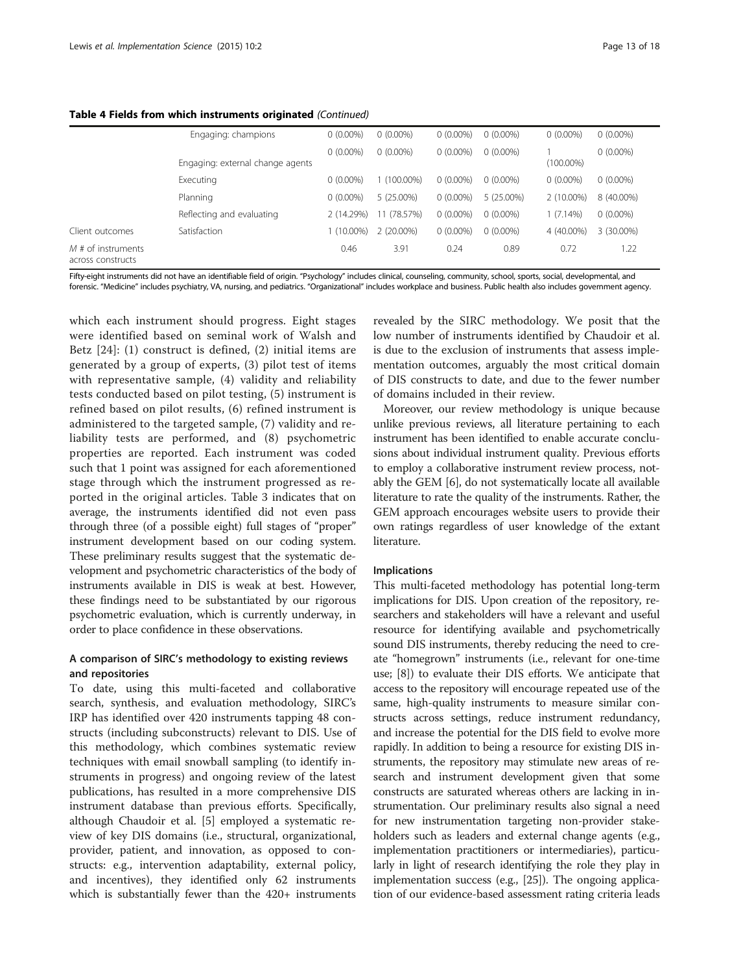| Table 4 Fields from which instruments originated (Continued) |  |  |
|--------------------------------------------------------------|--|--|
|--------------------------------------------------------------|--|--|

|                                         | Engaging: champions              | $0(0.00\%)$ | $0(0.00\%)$  | $0(0.00\%)$ | $0(0.00\%)$ | $0(0.00\%)$  | $0(0.00\%)$ |
|-----------------------------------------|----------------------------------|-------------|--------------|-------------|-------------|--------------|-------------|
|                                         | Engaging: external change agents | $0(0.00\%)$ | $0(0.00\%)$  | $0(0.00\%)$ | $0(0.00\%)$ | $(100.00\%)$ | $0(0.00\%)$ |
|                                         | Executing                        | $0(0.00\%)$ | $(100.00\%)$ | $0(0.00\%)$ | $0(0.00\%)$ | $0(0.00\%)$  | $0(0.00\%)$ |
|                                         | Planning                         | $0(0.00\%)$ | $5(25.00\%)$ | $0(0.00\%)$ | 5 (25.00%)  | 2 (10.00%)   | 8 (40.00%)  |
|                                         | Reflecting and evaluating        | 2 (14.29%)  | 11 (78.57%)  | $0(0.00\%)$ | $0(0.00\%)$ | $1(7.14\%)$  | $0(0.00\%)$ |
| Client outcomes                         | Satisfaction                     | 1 (10.00%)  | 2 (20.00%)   | $0(0.00\%)$ | $0(0.00\%)$ | 4 (40.00%)   | 3 (30.00%)  |
| M # of instruments<br>across constructs |                                  | 0.46        | 3.91         | 0.24        | 0.89        | 0.72         | .22         |

Fifty-eight instruments did not have an identifiable field of origin. "Psychology" includes clinical, counseling, community, school, sports, social, developmental, and forensic. "Medicine" includes psychiatry, VA, nursing, and pediatrics. "Organizational" includes workplace and business. Public health also includes government agency.

which each instrument should progress. Eight stages were identified based on seminal work of Walsh and Betz [[24](#page-17-0)]: (1) construct is defined, (2) initial items are generated by a group of experts, (3) pilot test of items with representative sample, (4) validity and reliability tests conducted based on pilot testing, (5) instrument is refined based on pilot results, (6) refined instrument is administered to the targeted sample, (7) validity and reliability tests are performed, and (8) psychometric properties are reported. Each instrument was coded such that 1 point was assigned for each aforementioned stage through which the instrument progressed as reported in the original articles. Table [3](#page-8-0) indicates that on average, the instruments identified did not even pass through three (of a possible eight) full stages of "proper" instrument development based on our coding system. These preliminary results suggest that the systematic development and psychometric characteristics of the body of instruments available in DIS is weak at best. However, these findings need to be substantiated by our rigorous psychometric evaluation, which is currently underway, in order to place confidence in these observations.

## A comparison of SIRC's methodology to existing reviews and repositories

To date, using this multi-faceted and collaborative search, synthesis, and evaluation methodology, SIRC's IRP has identified over 420 instruments tapping 48 constructs (including subconstructs) relevant to DIS. Use of this methodology, which combines systematic review techniques with email snowball sampling (to identify instruments in progress) and ongoing review of the latest publications, has resulted in a more comprehensive DIS instrument database than previous efforts. Specifically, although Chaudoir et al. [[5\]](#page-17-0) employed a systematic review of key DIS domains (i.e., structural, organizational, provider, patient, and innovation, as opposed to constructs: e.g., intervention adaptability, external policy, and incentives), they identified only 62 instruments which is substantially fewer than the 420+ instruments

revealed by the SIRC methodology. We posit that the low number of instruments identified by Chaudoir et al. is due to the exclusion of instruments that assess implementation outcomes, arguably the most critical domain of DIS constructs to date, and due to the fewer number of domains included in their review.

Moreover, our review methodology is unique because unlike previous reviews, all literature pertaining to each instrument has been identified to enable accurate conclusions about individual instrument quality. Previous efforts to employ a collaborative instrument review process, notably the GEM [[6\]](#page-17-0), do not systematically locate all available literature to rate the quality of the instruments. Rather, the GEM approach encourages website users to provide their own ratings regardless of user knowledge of the extant literature.

#### Implications

This multi-faceted methodology has potential long-term implications for DIS. Upon creation of the repository, researchers and stakeholders will have a relevant and useful resource for identifying available and psychometrically sound DIS instruments, thereby reducing the need to create "homegrown" instruments (i.e., relevant for one-time use; [[8\]](#page-17-0)) to evaluate their DIS efforts. We anticipate that access to the repository will encourage repeated use of the same, high-quality instruments to measure similar constructs across settings, reduce instrument redundancy, and increase the potential for the DIS field to evolve more rapidly. In addition to being a resource for existing DIS instruments, the repository may stimulate new areas of research and instrument development given that some constructs are saturated whereas others are lacking in instrumentation. Our preliminary results also signal a need for new instrumentation targeting non-provider stakeholders such as leaders and external change agents (e.g., implementation practitioners or intermediaries), particularly in light of research identifying the role they play in implementation success (e.g., [[25](#page-17-0)]). The ongoing application of our evidence-based assessment rating criteria leads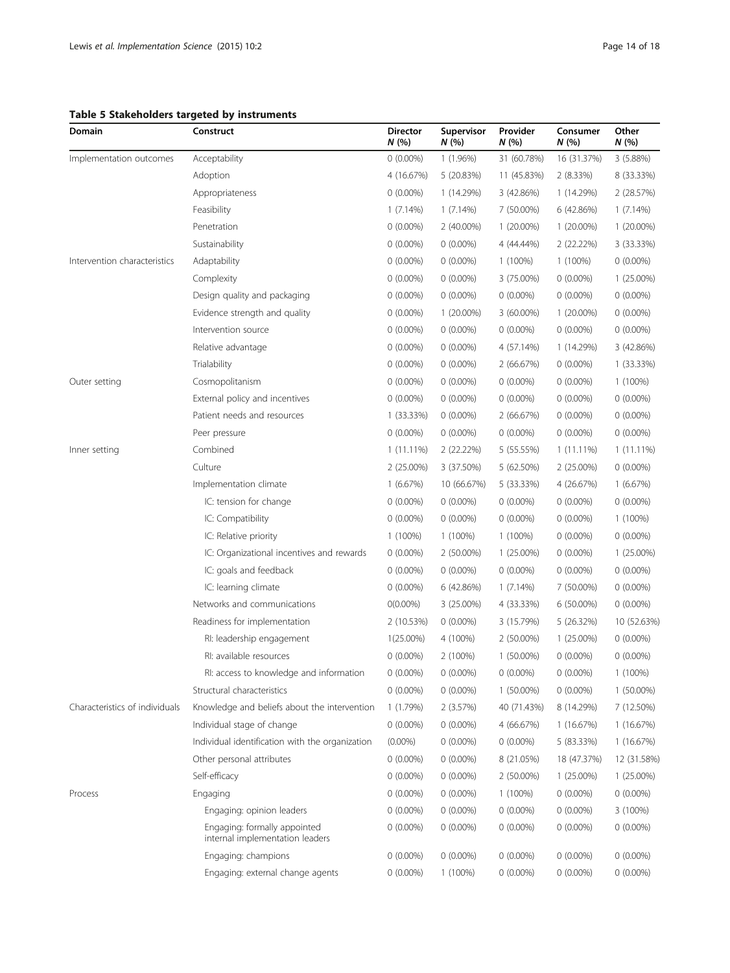## <span id="page-13-0"></span>Table 5 Stakeholders targeted by instruments

| Domain                                                                                                                                                                                                                                                                                                                                                                                                                                                                                                                                                                                                                                                                                             | Construct                                                                                                                                                                                                                                                                                                                                                                                                                                                                                                                                                                                                                                                                                                                                                                                                                                                                                                                                                                         | <b>Director</b><br>N(% | <b>Supervisor</b><br>N(% | Provider<br>N(% | Consumer<br>N(% | Other<br>N (%) |
|----------------------------------------------------------------------------------------------------------------------------------------------------------------------------------------------------------------------------------------------------------------------------------------------------------------------------------------------------------------------------------------------------------------------------------------------------------------------------------------------------------------------------------------------------------------------------------------------------------------------------------------------------------------------------------------------------|-----------------------------------------------------------------------------------------------------------------------------------------------------------------------------------------------------------------------------------------------------------------------------------------------------------------------------------------------------------------------------------------------------------------------------------------------------------------------------------------------------------------------------------------------------------------------------------------------------------------------------------------------------------------------------------------------------------------------------------------------------------------------------------------------------------------------------------------------------------------------------------------------------------------------------------------------------------------------------------|------------------------|--------------------------|-----------------|-----------------|----------------|
| Implementation outcomes                                                                                                                                                                                                                                                                                                                                                                                                                                                                                                                                                                                                                                                                            | Acceptability                                                                                                                                                                                                                                                                                                                                                                                                                                                                                                                                                                                                                                                                                                                                                                                                                                                                                                                                                                     | $0(0.00\%)$            | 1 (1.96%)                | 31 (60.78%)     | 16 (31.37%)     | 3 (5.88%)      |
|                                                                                                                                                                                                                                                                                                                                                                                                                                                                                                                                                                                                                                                                                                    | Adoption                                                                                                                                                                                                                                                                                                                                                                                                                                                                                                                                                                                                                                                                                                                                                                                                                                                                                                                                                                          | 4 (16.67%)             | 5 (20.83%)               | 11 (45.83%)     | 2(8.33%)        | 8 (33.33%)     |
|                                                                                                                                                                                                                                                                                                                                                                                                                                                                                                                                                                                                                                                                                                    | Appropriateness                                                                                                                                                                                                                                                                                                                                                                                                                                                                                                                                                                                                                                                                                                                                                                                                                                                                                                                                                                   | $0(0.00\%)$            | 1 (14.29%)               | 3 (42.86%)      | 1 (14.29%)      | 2 (28.57%)     |
|                                                                                                                                                                                                                                                                                                                                                                                                                                                                                                                                                                                                                                                                                                    | Feasibility                                                                                                                                                                                                                                                                                                                                                                                                                                                                                                                                                                                                                                                                                                                                                                                                                                                                                                                                                                       | $1(7.14\%)$            | $1(7.14\%)$              | 7 (50.00%)      | 6 (42.86%)      | $1(7.14\%)$    |
|                                                                                                                                                                                                                                                                                                                                                                                                                                                                                                                                                                                                                                                                                                    | Penetration                                                                                                                                                                                                                                                                                                                                                                                                                                                                                                                                                                                                                                                                                                                                                                                                                                                                                                                                                                       | $0(0.00\%)$            | 2 (40.00%)               | $1(20.00\%)$    | $1(20.00\%)$    | 1 (20.00%)     |
|                                                                                                                                                                                                                                                                                                                                                                                                                                                                                                                                                                                                                                                                                                    | Sustainability                                                                                                                                                                                                                                                                                                                                                                                                                                                                                                                                                                                                                                                                                                                                                                                                                                                                                                                                                                    | $0(0.00\%)$            | $0(0.00\%)$              | 4 (44.44%)      | 2 (22.22%)      | 3 (33.33%)     |
| Intervention characteristics                                                                                                                                                                                                                                                                                                                                                                                                                                                                                                                                                                                                                                                                       | Adaptability                                                                                                                                                                                                                                                                                                                                                                                                                                                                                                                                                                                                                                                                                                                                                                                                                                                                                                                                                                      | $0(0.00\%)$            | $0(0.00\%)$              | 1 (100%)        | $1(100\%)$      | $0(0.00\%)$    |
|                                                                                                                                                                                                                                                                                                                                                                                                                                                                                                                                                                                                                                                                                                    | Complexity                                                                                                                                                                                                                                                                                                                                                                                                                                                                                                                                                                                                                                                                                                                                                                                                                                                                                                                                                                        | $0(0.00\%)$            | $0(0.00\%)$              | 3 (75.00%)      | $0(0.00\%)$     | 1 (25.00%)     |
|                                                                                                                                                                                                                                                                                                                                                                                                                                                                                                                                                                                                                                                                                                    | Design quality and packaging                                                                                                                                                                                                                                                                                                                                                                                                                                                                                                                                                                                                                                                                                                                                                                                                                                                                                                                                                      | $0(0.00\%)$            | $0(0.00\%)$              | $0(0.00\%)$     | $0(0.00\%)$     | $0(0.00\%)$    |
|                                                                                                                                                                                                                                                                                                                                                                                                                                                                                                                                                                                                                                                                                                    | Evidence strength and quality                                                                                                                                                                                                                                                                                                                                                                                                                                                                                                                                                                                                                                                                                                                                                                                                                                                                                                                                                     | $0(0.00\%)$            | $1(20.00\%)$             | $3(60.00\%)$    | $1(20.00\%)$    | $0(0.00\%)$    |
|                                                                                                                                                                                                                                                                                                                                                                                                                                                                                                                                                                                                                                                                                                    | Intervention source                                                                                                                                                                                                                                                                                                                                                                                                                                                                                                                                                                                                                                                                                                                                                                                                                                                                                                                                                               | $0(0.00\%)$            | $0(0.00\%)$              | $0(0.00\%)$     | $0(0.00\%)$     | $0(0.00\%)$    |
| Outer setting<br>Inner setting                                                                                                                                                                                                                                                                                                                                                                                                                                                                                                                                                                                                                                                                     | Relative advantage                                                                                                                                                                                                                                                                                                                                                                                                                                                                                                                                                                                                                                                                                                                                                                                                                                                                                                                                                                | $0(0.00\%)$            | $0(0.00\%)$              | 4 (57.14%)      | 1 (14.29%)      | 3 (42.86%)     |
|                                                                                                                                                                                                                                                                                                                                                                                                                                                                                                                                                                                                                                                                                                    | Trialability                                                                                                                                                                                                                                                                                                                                                                                                                                                                                                                                                                                                                                                                                                                                                                                                                                                                                                                                                                      | $0(0.00\%)$            | $0(0.00\%)$              | 2(66.67%)       | $0(0.00\%)$     | 1 (33.33%)     |
|                                                                                                                                                                                                                                                                                                                                                                                                                                                                                                                                                                                                                                                                                                    | Cosmopolitanism                                                                                                                                                                                                                                                                                                                                                                                                                                                                                                                                                                                                                                                                                                                                                                                                                                                                                                                                                                   | $0(0.00\%)$            | $0(0.00\%)$              | $0(0.00\%)$     | $0(0.00\%)$     | $1(100\%)$     |
|                                                                                                                                                                                                                                                                                                                                                                                                                                                                                                                                                                                                                                                                                                    | External policy and incentives                                                                                                                                                                                                                                                                                                                                                                                                                                                                                                                                                                                                                                                                                                                                                                                                                                                                                                                                                    | $0(0.00\%)$            | $0(0.00\%)$              | $0(0.00\%)$     | $0(0.00\%)$     | $0(0.00\%)$    |
|                                                                                                                                                                                                                                                                                                                                                                                                                                                                                                                                                                                                                                                                                                    | Patient needs and resources                                                                                                                                                                                                                                                                                                                                                                                                                                                                                                                                                                                                                                                                                                                                                                                                                                                                                                                                                       | 1 (33.33%)             | $0(0.00\%)$              | 2(66.67%)       | $0(0.00\%)$     | $0(0.00\%)$    |
|                                                                                                                                                                                                                                                                                                                                                                                                                                                                                                                                                                                                                                                                                                    | Peer pressure                                                                                                                                                                                                                                                                                                                                                                                                                                                                                                                                                                                                                                                                                                                                                                                                                                                                                                                                                                     | $0(0.00\%)$            | $0(0.00\%)$              | $0(0.00\%)$     | $0(0.00\%)$     | $0(0.00\%)$    |
|                                                                                                                                                                                                                                                                                                                                                                                                                                                                                                                                                                                                                                                                                                    | Combined                                                                                                                                                                                                                                                                                                                                                                                                                                                                                                                                                                                                                                                                                                                                                                                                                                                                                                                                                                          | $1(11.11\%)$           | 2 (22.22%)               | 5 (55.55%)      | $1(11.11\%)$    | $1(11.11\%)$   |
|                                                                                                                                                                                                                                                                                                                                                                                                                                                                                                                                                                                                                                                                                                    | Culture                                                                                                                                                                                                                                                                                                                                                                                                                                                                                                                                                                                                                                                                                                                                                                                                                                                                                                                                                                           | 2 (25.00%)             | 3 (37.50%)               | 5 (62.50%)      | 2 (25.00%)      | $0(0.00\%)$    |
|                                                                                                                                                                                                                                                                                                                                                                                                                                                                                                                                                                                                                                                                                                    | Implementation climate<br>1(6.67%)<br>10 (66.67%)<br>5 (33.33%)<br>IC: tension for change<br>$0(0.00\%)$<br>$0(0.00\%)$<br>$0(0.00\%)$<br>IC: Compatibility<br>$0(0.00\%)$<br>$0(0.00\%)$<br>$0(0.00\%)$<br>IC: Relative priority<br>$1(100\%)$<br>$1(100\%)$<br>$1(100\%)$<br>IC: Organizational incentives and rewards<br>$0(0.00\%)$<br>2 (50.00%)<br>$1(25.00\%)$<br>IC: goals and feedback<br>$0(0.00\%)$<br>$0(0.00\%)$<br>$0(0.00\%)$<br>IC: learning climate<br>$0(0.00\%)$<br>6 (42.86%)<br>$1(7.14\%)$<br>Networks and communications<br>$0(0.00\%)$<br>3 (25.00%)<br>4 (33.33%)<br>Readiness for implementation<br>$0(0.00\%)$<br>3 (15.79%)<br>2 (10.53%)<br>RI: leadership engagement<br>1(25.00%)<br>4 (100%)<br>2 (50.00%)<br>RI: available resources<br>$0(0.00\%)$<br>2 (100%)<br>1 (50.00%)<br>RI: access to knowledge and information<br>$0(0.00\%)$<br>$0(0.00\%)$<br>$0(0.00\%)$<br>Structural characteristics<br>$0(0.00\%)$<br>$0(0.00\%)$<br>$1(50.00\%)$ | 4 (26.67%)             | 1(6.67%)                 |                 |                 |                |
|                                                                                                                                                                                                                                                                                                                                                                                                                                                                                                                                                                                                                                                                                                    |                                                                                                                                                                                                                                                                                                                                                                                                                                                                                                                                                                                                                                                                                                                                                                                                                                                                                                                                                                                   |                        |                          |                 | $0(0.00\%)$     | $0(0.00\%)$    |
|                                                                                                                                                                                                                                                                                                                                                                                                                                                                                                                                                                                                                                                                                                    |                                                                                                                                                                                                                                                                                                                                                                                                                                                                                                                                                                                                                                                                                                                                                                                                                                                                                                                                                                                   |                        |                          |                 | $0(0.00\%)$     | $1(100\%)$     |
|                                                                                                                                                                                                                                                                                                                                                                                                                                                                                                                                                                                                                                                                                                    |                                                                                                                                                                                                                                                                                                                                                                                                                                                                                                                                                                                                                                                                                                                                                                                                                                                                                                                                                                                   |                        |                          |                 | $0(0.00\%)$     | $0(0.00\%)$    |
|                                                                                                                                                                                                                                                                                                                                                                                                                                                                                                                                                                                                                                                                                                    |                                                                                                                                                                                                                                                                                                                                                                                                                                                                                                                                                                                                                                                                                                                                                                                                                                                                                                                                                                                   |                        |                          |                 | $0(0.00\%)$     | $1(25.00\%)$   |
|                                                                                                                                                                                                                                                                                                                                                                                                                                                                                                                                                                                                                                                                                                    |                                                                                                                                                                                                                                                                                                                                                                                                                                                                                                                                                                                                                                                                                                                                                                                                                                                                                                                                                                                   |                        |                          |                 | $0(0.00\%)$     | $0(0.00\%)$    |
|                                                                                                                                                                                                                                                                                                                                                                                                                                                                                                                                                                                                                                                                                                    |                                                                                                                                                                                                                                                                                                                                                                                                                                                                                                                                                                                                                                                                                                                                                                                                                                                                                                                                                                                   |                        |                          |                 | 7 (50.00%)      | $0(0.00\%)$    |
|                                                                                                                                                                                                                                                                                                                                                                                                                                                                                                                                                                                                                                                                                                    |                                                                                                                                                                                                                                                                                                                                                                                                                                                                                                                                                                                                                                                                                                                                                                                                                                                                                                                                                                                   |                        |                          |                 | 6 (50.00%)      | $0(0.00\%)$    |
|                                                                                                                                                                                                                                                                                                                                                                                                                                                                                                                                                                                                                                                                                                    |                                                                                                                                                                                                                                                                                                                                                                                                                                                                                                                                                                                                                                                                                                                                                                                                                                                                                                                                                                                   |                        |                          |                 | 5 (26.32%)      | 10 (52.63%)    |
|                                                                                                                                                                                                                                                                                                                                                                                                                                                                                                                                                                                                                                                                                                    |                                                                                                                                                                                                                                                                                                                                                                                                                                                                                                                                                                                                                                                                                                                                                                                                                                                                                                                                                                                   |                        |                          |                 | $1(25.00\%)$    | $0(0.00\%)$    |
|                                                                                                                                                                                                                                                                                                                                                                                                                                                                                                                                                                                                                                                                                                    |                                                                                                                                                                                                                                                                                                                                                                                                                                                                                                                                                                                                                                                                                                                                                                                                                                                                                                                                                                                   |                        |                          |                 | $0(0.00\%)$     | $0(0.00\%)$    |
|                                                                                                                                                                                                                                                                                                                                                                                                                                                                                                                                                                                                                                                                                                    |                                                                                                                                                                                                                                                                                                                                                                                                                                                                                                                                                                                                                                                                                                                                                                                                                                                                                                                                                                                   |                        |                          |                 | $0(0.00\%)$     | 1 (100%)       |
|                                                                                                                                                                                                                                                                                                                                                                                                                                                                                                                                                                                                                                                                                                    |                                                                                                                                                                                                                                                                                                                                                                                                                                                                                                                                                                                                                                                                                                                                                                                                                                                                                                                                                                                   |                        |                          |                 | $0(0.00\%)$     | 1 (50.00%)     |
| Characteristics of individuals<br>Knowledge and beliefs about the intervention<br>1(1.79%)<br>2 (3.57%)<br>Individual stage of change<br>$0(0.00\%)$<br>$0(0.00\%)$<br>Individual identification with the organization<br>$(0.00\%)$<br>$0(0.00\%)$<br>Other personal attributes<br>$0(0.00\%)$<br>$0(0.00\%)$<br>Self-efficacy<br>$0(0.00\%)$<br>$0(0.00\%)$<br>Process<br>Engaging<br>$0(0.00\%)$<br>$0(0.00\%)$<br>Engaging: opinion leaders<br>$0(0.00\%)$<br>$0(0.00\%)$<br>Engaging: formally appointed<br>$0(0.00\%)$<br>$0(0.00\%)$<br>internal implementation leaders<br>Engaging: champions<br>$0(0.00\%)$<br>$0(0.00\%)$<br>Engaging: external change agents<br>$0(0.00\%)$<br>1 (100%) | 40 (71.43%)                                                                                                                                                                                                                                                                                                                                                                                                                                                                                                                                                                                                                                                                                                                                                                                                                                                                                                                                                                       | 8 (14.29%)             | 7 (12.50%)               |                 |                 |                |
|                                                                                                                                                                                                                                                                                                                                                                                                                                                                                                                                                                                                                                                                                                    |                                                                                                                                                                                                                                                                                                                                                                                                                                                                                                                                                                                                                                                                                                                                                                                                                                                                                                                                                                                   |                        |                          | 4 (66.67%)      | 1(16.67%)       | 1 (16.67%)     |
|                                                                                                                                                                                                                                                                                                                                                                                                                                                                                                                                                                                                                                                                                                    |                                                                                                                                                                                                                                                                                                                                                                                                                                                                                                                                                                                                                                                                                                                                                                                                                                                                                                                                                                                   |                        |                          | $0(0.00\%)$     | 5 (83.33%)      | 1(16.67%)      |
|                                                                                                                                                                                                                                                                                                                                                                                                                                                                                                                                                                                                                                                                                                    |                                                                                                                                                                                                                                                                                                                                                                                                                                                                                                                                                                                                                                                                                                                                                                                                                                                                                                                                                                                   |                        |                          | 8 (21.05%)      | 18 (47.37%)     | 12 (31.58%)    |
|                                                                                                                                                                                                                                                                                                                                                                                                                                                                                                                                                                                                                                                                                                    |                                                                                                                                                                                                                                                                                                                                                                                                                                                                                                                                                                                                                                                                                                                                                                                                                                                                                                                                                                                   |                        |                          | $2(50.00\%)$    | $1(25.00\%)$    | 1 (25.00%)     |
|                                                                                                                                                                                                                                                                                                                                                                                                                                                                                                                                                                                                                                                                                                    |                                                                                                                                                                                                                                                                                                                                                                                                                                                                                                                                                                                                                                                                                                                                                                                                                                                                                                                                                                                   |                        |                          | 1 (100%)        | $0(0.00\%)$     | $0(0.00\%)$    |
|                                                                                                                                                                                                                                                                                                                                                                                                                                                                                                                                                                                                                                                                                                    |                                                                                                                                                                                                                                                                                                                                                                                                                                                                                                                                                                                                                                                                                                                                                                                                                                                                                                                                                                                   |                        |                          | $0(0.00\%)$     | $0(0.00\%)$     | 3 (100%)       |
|                                                                                                                                                                                                                                                                                                                                                                                                                                                                                                                                                                                                                                                                                                    |                                                                                                                                                                                                                                                                                                                                                                                                                                                                                                                                                                                                                                                                                                                                                                                                                                                                                                                                                                                   |                        |                          | $0(0.00\%)$     | $0(0.00\%)$     | $0(0.00\%)$    |
|                                                                                                                                                                                                                                                                                                                                                                                                                                                                                                                                                                                                                                                                                                    |                                                                                                                                                                                                                                                                                                                                                                                                                                                                                                                                                                                                                                                                                                                                                                                                                                                                                                                                                                                   |                        |                          | $0(0.00\%)$     | $0(0.00\%)$     | $0(0.00\%)$    |
|                                                                                                                                                                                                                                                                                                                                                                                                                                                                                                                                                                                                                                                                                                    |                                                                                                                                                                                                                                                                                                                                                                                                                                                                                                                                                                                                                                                                                                                                                                                                                                                                                                                                                                                   |                        |                          | $0(0.00\%)$     | $0(0.00\%)$     | $0(0.00\%)$    |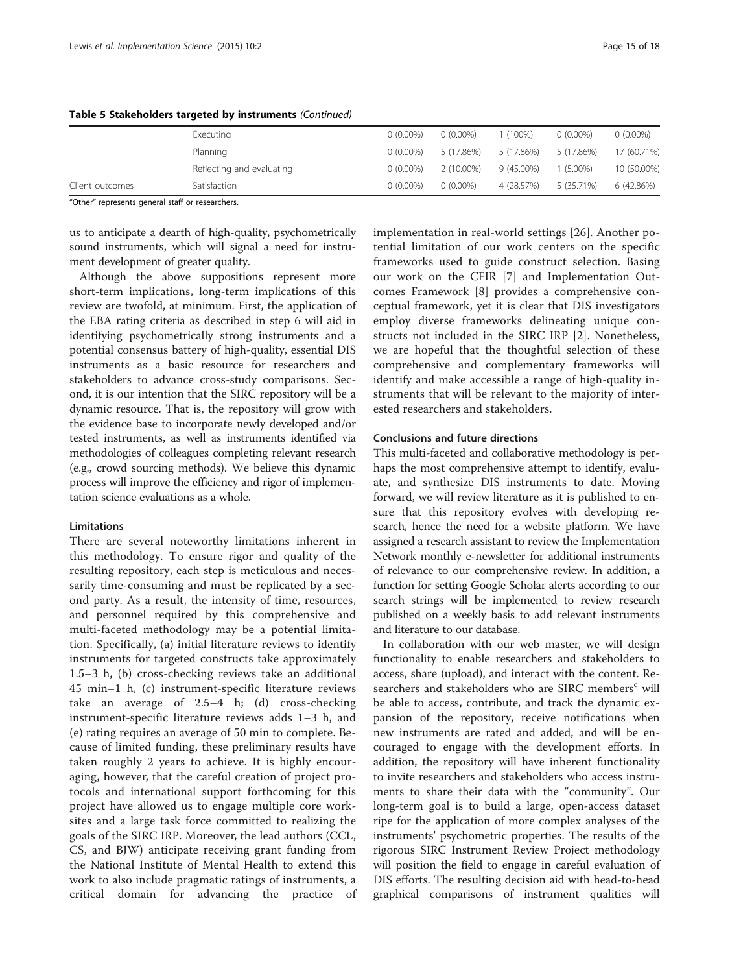|                 | Executing                 | $0(0.00\%)$ | $0(0.00\%)$ | $(100\%)$  | $0(0.00\%)$ | $0(0.00\%)$ |
|-----------------|---------------------------|-------------|-------------|------------|-------------|-------------|
|                 | Planning                  | $0(0.00\%)$ | 5 (17.86%)  | 5 (17.86%) | 5 (17.86%)  | 17 (60.71%) |
|                 | Reflecting and evaluating | $0(0.00\%)$ | 2 (10.00%)  | 9 (45.00%) | $1(5.00\%)$ | 10 (50.00%) |
| Client outcomes | Satisfaction              | $0(0.00\%)$ | $0(0.00\%)$ | 4 (28.57%) | 5 (35.71%)  | 6 (42.86%)  |

Table 5 Stakeholders targeted by instruments (Continued)

"Other" represents general staff or researchers.

us to anticipate a dearth of high-quality, psychometrically sound instruments, which will signal a need for instrument development of greater quality.

Although the above suppositions represent more short-term implications, long-term implications of this review are twofold, at minimum. First, the application of the EBA rating criteria as described in step 6 will aid in identifying psychometrically strong instruments and a potential consensus battery of high-quality, essential DIS instruments as a basic resource for researchers and stakeholders to advance cross-study comparisons. Second, it is our intention that the SIRC repository will be a dynamic resource. That is, the repository will grow with the evidence base to incorporate newly developed and/or tested instruments, as well as instruments identified via methodologies of colleagues completing relevant research (e.g., crowd sourcing methods). We believe this dynamic process will improve the efficiency and rigor of implementation science evaluations as a whole.

## Limitations

There are several noteworthy limitations inherent in this methodology. To ensure rigor and quality of the resulting repository, each step is meticulous and necessarily time-consuming and must be replicated by a second party. As a result, the intensity of time, resources, and personnel required by this comprehensive and multi-faceted methodology may be a potential limitation. Specifically, (a) initial literature reviews to identify instruments for targeted constructs take approximately 1.5–3 h, (b) cross-checking reviews take an additional 45 min–1 h, (c) instrument-specific literature reviews take an average of 2.5–4 h; (d) cross-checking instrument-specific literature reviews adds 1–3 h, and (e) rating requires an average of 50 min to complete. Because of limited funding, these preliminary results have taken roughly 2 years to achieve. It is highly encouraging, however, that the careful creation of project protocols and international support forthcoming for this project have allowed us to engage multiple core worksites and a large task force committed to realizing the goals of the SIRC IRP. Moreover, the lead authors (CCL, CS, and BJW) anticipate receiving grant funding from the National Institute of Mental Health to extend this work to also include pragmatic ratings of instruments, a critical domain for advancing the practice of

implementation in real-world settings [[26](#page-17-0)]. Another potential limitation of our work centers on the specific frameworks used to guide construct selection. Basing our work on the CFIR [\[7](#page-17-0)] and Implementation Outcomes Framework [[8\]](#page-17-0) provides a comprehensive conceptual framework, yet it is clear that DIS investigators employ diverse frameworks delineating unique constructs not included in the SIRC IRP [[2\]](#page-17-0). Nonetheless, we are hopeful that the thoughtful selection of these comprehensive and complementary frameworks will identify and make accessible a range of high-quality instruments that will be relevant to the majority of interested researchers and stakeholders.

## Conclusions and future directions

This multi-faceted and collaborative methodology is perhaps the most comprehensive attempt to identify, evaluate, and synthesize DIS instruments to date. Moving forward, we will review literature as it is published to ensure that this repository evolves with developing research, hence the need for a website platform. We have assigned a research assistant to review the Implementation Network monthly e-newsletter for additional instruments of relevance to our comprehensive review. In addition, a function for setting Google Scholar alerts according to our search strings will be implemented to review research published on a weekly basis to add relevant instruments and literature to our database.

In collaboration with our web master, we will design functionality to enable researchers and stakeholders to access, share (upload), and interact with the content. Researchers and stakeholders who are SIRC members<sup>c</sup> will be able to access, contribute, and track the dynamic expansion of the repository, receive notifications when new instruments are rated and added, and will be encouraged to engage with the development efforts. In addition, the repository will have inherent functionality to invite researchers and stakeholders who access instruments to share their data with the "community". Our long-term goal is to build a large, open-access dataset ripe for the application of more complex analyses of the instruments' psychometric properties. The results of the rigorous SIRC Instrument Review Project methodology will position the field to engage in careful evaluation of DIS efforts. The resulting decision aid with head-to-head graphical comparisons of instrument qualities will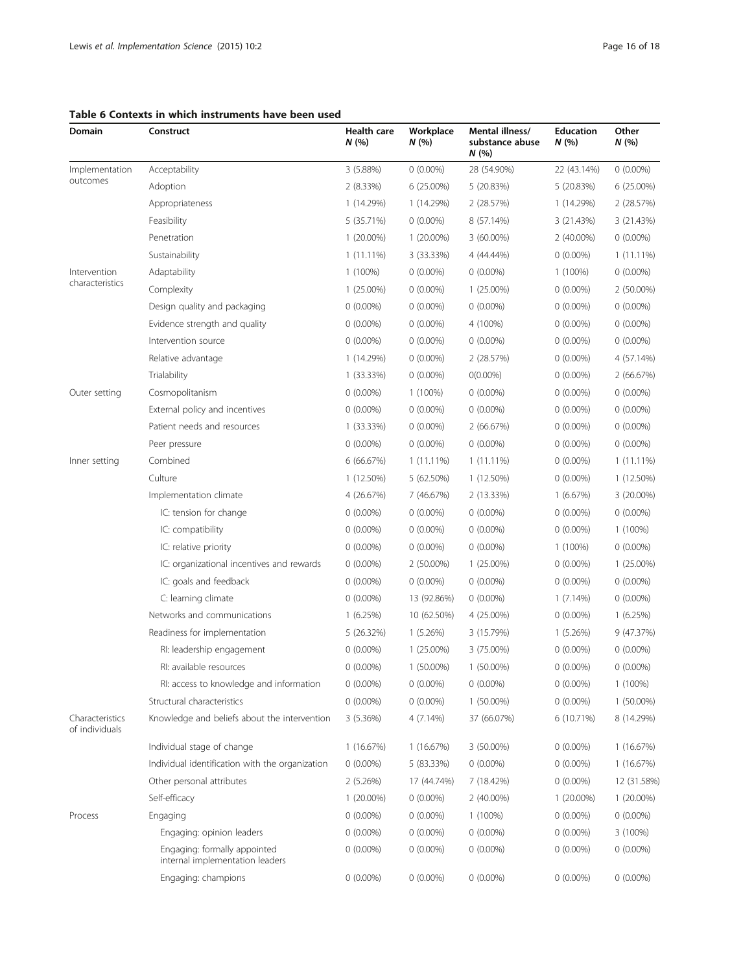| Domain                            | Construct                                                       | <b>Health care</b><br>N(%) | Workplace<br>N(%) | Mental illness/<br>substance abuse<br>N(%) | <b>Education</b><br>N(% | Other<br>N(% |
|-----------------------------------|-----------------------------------------------------------------|----------------------------|-------------------|--------------------------------------------|-------------------------|--------------|
| Implementation                    | Acceptability                                                   | 3(5.88%)                   | $0(0.00\%)$       | 28 (54.90%)                                | 22 (43.14%)             | $0(0.00\%)$  |
| outcomes                          | Adoption                                                        | 2(8.33%)                   | $6(25.00\%)$      | 5 (20.83%)                                 | 5 (20.83%)              | 6 (25.00%)   |
|                                   | Appropriateness                                                 | 1 (14.29%)                 | 1 (14.29%)        | 2 (28.57%)                                 | 1(14.29%)               | 2 (28.57%)   |
|                                   | Feasibility                                                     | 5 (35.71%)                 | $0(0.00\%)$       | 8 (57.14%)                                 | 3 (21.43%)              | 3 (21.43%)   |
|                                   | Penetration                                                     | $1(20.00\%)$               | $1(20.00\%)$      | 3 (60.00%)                                 | 2 (40.00%)              | $0(0.00\%)$  |
|                                   | Sustainability                                                  | $1(11.11\%)$               | 3 (33.33%)        | 4 (44.44%)                                 | $0(0.00\%)$             | $1(11.11\%)$ |
| Intervention                      | Adaptability                                                    | 1 (100%)                   | $0(0.00\%)$       | $0(0.00\%)$                                | 1 (100%)                | $0(0.00\%)$  |
| characteristics                   | Complexity                                                      | $1(25.00\%)$               | $0(0.00\%)$       | $1(25.00\%)$                               | $0(0.00\%)$             | 2 (50.00%)   |
|                                   | Design quality and packaging                                    | $0(0.00\%)$                | $0(0.00\%)$       | $0(0.00\%)$                                | $0(0.00\%)$             | $0(0.00\%)$  |
|                                   | Evidence strength and quality                                   | $0(0.00\%)$                | $0(0.00\%)$       | 4 (100%)                                   | $0(0.00\%)$             | $0(0.00\%)$  |
|                                   | Intervention source                                             | $0(0.00\%)$                | $0(0.00\%)$       | $0(0.00\%)$                                | $0(0.00\%)$             | $0(0.00\%)$  |
|                                   | Relative advantage                                              | 1 (14.29%)                 | $0(0.00\%)$       | 2 (28.57%)                                 | $0(0.00\%)$             | 4 (57.14%)   |
|                                   | Trialability                                                    | 1 (33.33%)                 | $0(0.00\%)$       | $O(0.00\%)$                                | $0(0.00\%)$             | 2 (66.67%)   |
| Outer setting                     | Cosmopolitanism                                                 | $0(0.00\%)$                | $1(100\%)$        | $0(0.00\%)$                                | $0(0.00\%)$             | $0(0.00\%)$  |
|                                   | External policy and incentives                                  | $0(0.00\%)$                | $0(0.00\%)$       | $0(0.00\%)$                                | $0(0.00\%)$             | $0(0.00\%)$  |
|                                   | Patient needs and resources                                     | 1 (33.33%)                 | $0(0.00\%)$       | 2(66.67%)                                  | $0(0.00\%)$             | $0(0.00\%)$  |
|                                   | Peer pressure                                                   | $0(0.00\%)$                | $0(0.00\%)$       | $0(0.00\%)$                                | $0(0.00\%)$             | $0(0.00\%)$  |
| Inner setting                     | Combined                                                        | 6(66.67%)                  | $1(11.11\%)$      | $1(11.11\%)$                               | $0(0.00\%)$             | $1(11.11\%)$ |
|                                   | Culture                                                         | 1 (12.50%)                 | 5 (62.50%)        | 1 (12.50%)                                 | $0(0.00\%)$             | 1 (12.50%)   |
|                                   | Implementation climate                                          | 4 (26.67%)                 | 7 (46.67%)        | 2 (13.33%)                                 | 1(6.67%)                | 3 (20.00%)   |
|                                   | IC: tension for change                                          | $0(0.00\%)$                | $0(0.00\%)$       | $0(0.00\%)$                                | $0(0.00\%)$             | $0(0.00\%)$  |
|                                   | IC: compatibility                                               | $0(0.00\%)$                | $0(0.00\%)$       | $0(0.00\%)$                                | $0(0.00\%)$             | $1(100\%)$   |
|                                   | IC: relative priority                                           | $0(0.00\%)$                | $0(0.00\%)$       | $0(0.00\%)$                                | $1(100\%)$              | $0(0.00\%)$  |
|                                   | IC: organizational incentives and rewards                       | $0(0.00\%)$                | 2 (50.00%)        | $1(25.00\%)$                               | $0(0.00\%)$             | 1 (25.00%)   |
|                                   | IC: goals and feedback                                          | $0(0.00\%)$                | $0(0.00\%)$       | $0(0.00\%)$                                | $0(0.00\%)$             | $0(0.00\%)$  |
|                                   | C: learning climate                                             | $0(0.00\%)$                | 13 (92.86%)       | $0(0.00\%)$                                | $1(7.14\%)$             | $0(0.00\%)$  |
|                                   | Networks and communications                                     | 1(6.25%)                   | 10 (62.50%)       | 4 (25.00%)                                 | $0(0.00\%)$             | 1(6.25%)     |
|                                   | Readiness for implementation                                    | 5 (26.32%)                 | 1(5.26%)          | 3 (15.79%)                                 | 1(5.26%)                | 9 (47.37%)   |
|                                   | RI: leadership engagement                                       | $0(0.00\%)$                | $1(25.00\%)$      | 3 (75.00%)                                 | $0(0.00\%)$             | $0(0.00\%)$  |
|                                   | RI: available resources                                         | $0(0.00\%)$                | 1 (50.00%)        | 1 (50.00%)                                 | $0(0.00\%)$             | $0(0.00\%)$  |
|                                   | RI: access to knowledge and information                         | $0(0.00\%)$                | $0(0.00\%)$       | $0(0.00\%)$                                | $0(0.00\%)$             | 1 (100%)     |
|                                   | Structural characteristics                                      | $0(0.00\%)$                | $0(0.00\%)$       | 1 (50.00%)                                 | $0(0.00\%)$             | $1(50.00\%)$ |
| Characteristics<br>of individuals | Knowledge and beliefs about the intervention                    | 3(5.36%)                   | 4 (7.14%)         | 37 (66.07%)                                | 6 (10.71%)              | 8 (14.29%)   |
|                                   | Individual stage of change                                      | 1 (16.67%)                 | 1(16.67%)         | 3 (50.00%)                                 | $0(0.00\%)$             | 1 (16.67%)   |
|                                   | Individual identification with the organization                 | $0(0.00\%)$                | 5 (83.33%)        | $0(0.00\%)$                                | $0(0.00\%)$             | 1(16.67%)    |
|                                   | Other personal attributes                                       | 2(5.26%)                   | 17 (44.74%)       | 7 (18.42%)                                 | $0(0.00\%)$             | 12 (31.58%)  |
|                                   | Self-efficacy                                                   | $1(20.00\%)$               | $0(0.00\%)$       | $2(40.00\%)$                               | $1(20.00\%)$            | $1(20.00\%)$ |
| Process                           | Engaging                                                        | $0(0.00\%)$                | $0(0.00\%)$       | $1(100\%)$                                 | $0(0.00\%)$             | $0(0.00\%)$  |
|                                   | Engaging: opinion leaders                                       | $0(0.00\%)$                | $0(0.00\%)$       | $0(0.00\%)$                                | $0(0.00\%)$             | 3 (100%)     |
|                                   | Engaging: formally appointed<br>internal implementation leaders | $0(0.00\%)$                | $0(0.00\%)$       | $0(0.00\%)$                                | $0(0.00\%)$             | $0(0.00\%)$  |
|                                   | Engaging: champions                                             | $0(0.00\%)$                | $0(0.00\%)$       | $0(0.00\%)$                                | $0(0.00\%)$             | $0(0.00\%)$  |

## <span id="page-15-0"></span>Table 6 Contexts in which instruments have been used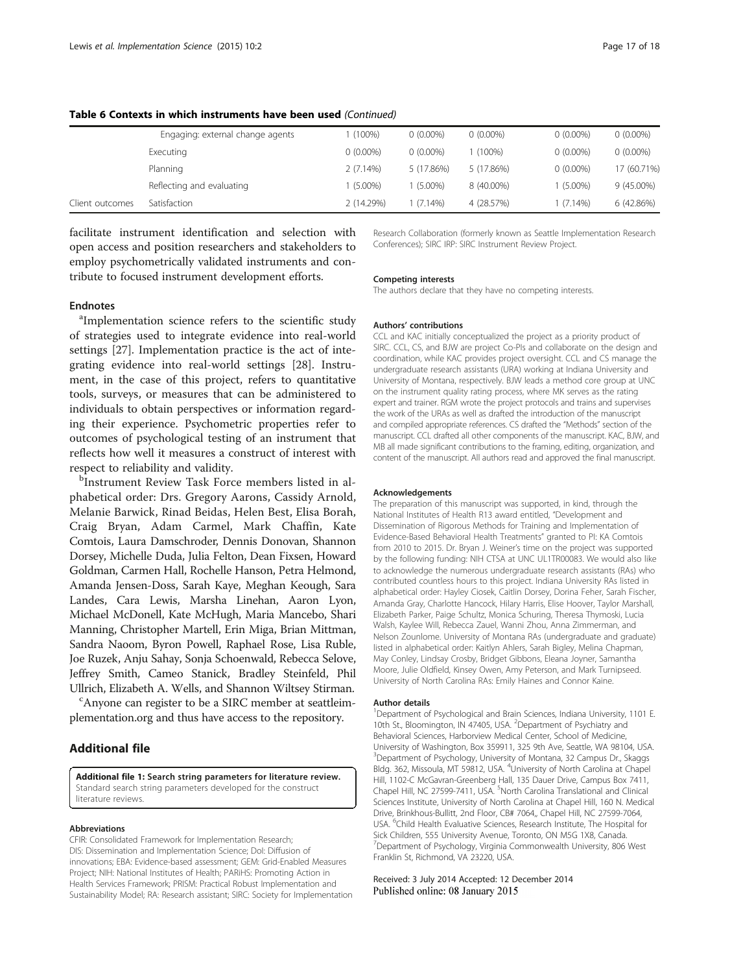<span id="page-16-0"></span>

|  |  |  | Table 6 Contexts in which instruments have been used (Continued) |  |  |  |  |
|--|--|--|------------------------------------------------------------------|--|--|--|--|
|--|--|--|------------------------------------------------------------------|--|--|--|--|

|                 | Engaging: external change agents | $1(100\%)$  | $0(0.00\%)$ | $0(0.00\%)$ | $0(0.00\%)$ | $0(0.00\%)$  |
|-----------------|----------------------------------|-------------|-------------|-------------|-------------|--------------|
|                 | Executing                        | $0(0.00\%)$ | $0(0.00\%)$ | $1(100\%)$  | $0(0.00\%)$ | $0(0.00\%)$  |
|                 | Planning                         | $2(7.14\%)$ | 5 (17.86%)  | 5 (17.86%)  | $0(0.00\%)$ | 17 (60.71%)  |
|                 | Reflecting and evaluating        | 1 (5.00%)   | $(5.00\%)$  | 8 (40.00%)  | $(5.00\%)$  | $9(45.00\%)$ |
| Client outcomes | Satisfaction                     | 2 (14.29%)  | $(7.14\%)$  | 4 (28.57%)  | $(7.14\%)$  | 6 (42.86%)   |

facilitate instrument identification and selection with open access and position researchers and stakeholders to employ psychometrically validated instruments and contribute to focused instrument development efforts.

#### Endnotes

<sup>a</sup>Implementation science refers to the scientific study of strategies used to integrate evidence into real-world settings [\[27](#page-17-0)]. Implementation practice is the act of integrating evidence into real-world settings [[28](#page-17-0)]. Instrument, in the case of this project, refers to quantitative tools, surveys, or measures that can be administered to individuals to obtain perspectives or information regarding their experience. Psychometric properties refer to outcomes of psychological testing of an instrument that reflects how well it measures a construct of interest with respect to reliability and validity.

b Instrument Review Task Force members listed in alphabetical order: Drs. Gregory Aarons, Cassidy Arnold, Melanie Barwick, Rinad Beidas, Helen Best, Elisa Borah, Craig Bryan, Adam Carmel, Mark Chaffin, Kate Comtois, Laura Damschroder, Dennis Donovan, Shannon Dorsey, Michelle Duda, Julia Felton, Dean Fixsen, Howard Goldman, Carmen Hall, Rochelle Hanson, Petra Helmond, Amanda Jensen-Doss, Sarah Kaye, Meghan Keough, Sara Landes, Cara Lewis, Marsha Linehan, Aaron Lyon, Michael McDonell, Kate McHugh, Maria Mancebo, Shari Manning, Christopher Martell, Erin Miga, Brian Mittman, Sandra Naoom, Byron Powell, Raphael Rose, Lisa Ruble, Joe Ruzek, Anju Sahay, Sonja Schoenwald, Rebecca Selove, Jeffrey Smith, Cameo Stanick, Bradley Steinfeld, Phil Ullrich, Elizabeth A. Wells, and Shannon Wiltsey Stirman.

Anyone can register to be a SIRC member at seattleimplementation.org and thus have access to the repository.

## Additional file

[Additional file 1:](http://www.implementationscience.com/content/supplementary/s13012-014-0193-x-s1.docx) Search string parameters for literature review. Standard search string parameters developed for the construct literature reviews.

#### Abbreviations

CFIR: Consolidated Framework for Implementation Research; DIS: Dissemination and Implementation Science; DoI: Diffusion of innovations; EBA: Evidence-based assessment; GEM: Grid-Enabled Measures Project; NIH: National Institutes of Health; PARiHS: Promoting Action in Health Services Framework; PRISM: Practical Robust Implementation and Sustainability Model; RA: Research assistant; SIRC: Society for Implementation

Research Collaboration (formerly known as Seattle Implementation Research Conferences); SIRC IRP: SIRC Instrument Review Project.

#### Competing interests

The authors declare that they have no competing interests.

#### Authors' contributions

CCL and KAC initially conceptualized the project as a priority product of SIRC. CCL, CS, and BJW are project Co-PIs and collaborate on the design and coordination, while KAC provides project oversight. CCL and CS manage the undergraduate research assistants (URA) working at Indiana University and University of Montana, respectively. BJW leads a method core group at UNC on the instrument quality rating process, where MK serves as the rating expert and trainer. RGM wrote the project protocols and trains and supervises the work of the URAs as well as drafted the introduction of the manuscript and compiled appropriate references. CS drafted the "[Methods](#page-2-0)" section of the manuscript. CCL drafted all other components of the manuscript. KAC, BJW, and MB all made significant contributions to the framing, editing, organization, and content of the manuscript. All authors read and approved the final manuscript.

#### Acknowledgements

The preparation of this manuscript was supported, in kind, through the National Institutes of Health R13 award entitled, "Development and Dissemination of Rigorous Methods for Training and Implementation of Evidence-Based Behavioral Health Treatments" granted to PI: KA Comtois from 2010 to 2015. Dr. Bryan J. Weiner's time on the project was supported by the following funding: NIH CTSA at UNC UL1TR00083. We would also like to acknowledge the numerous undergraduate research assistants (RAs) who contributed countless hours to this project. Indiana University RAs listed in alphabetical order: Hayley Ciosek, Caitlin Dorsey, Dorina Feher, Sarah Fischer, Amanda Gray, Charlotte Hancock, Hilary Harris, Elise Hoover, Taylor Marshall, Elizabeth Parker, Paige Schultz, Monica Schuring, Theresa Thymoski, Lucia Walsh, Kaylee Will, Rebecca Zauel, Wanni Zhou, Anna Zimmerman, and Nelson Zounlome. University of Montana RAs (undergraduate and graduate) listed in alphabetical order: Kaitlyn Ahlers, Sarah Bigley, Melina Chapman, May Conley, Lindsay Crosby, Bridget Gibbons, Eleana Joyner, Samantha Moore, Julie Oldfield, Kinsey Owen, Amy Peterson, and Mark Turnipseed. University of North Carolina RAs: Emily Haines and Connor Kaine.

#### Author details

<sup>1</sup>Department of Psychological and Brain Sciences, Indiana University, 1101 E 10th St., Bloomington, IN 47405, USA. <sup>2</sup>Department of Psychiatry and Behavioral Sciences, Harborview Medical Center, School of Medicine, University of Washington, Box 359911, 325 9th Ave, Seattle, WA 98104, USA. <sup>3</sup>Department of Psychology, University of Montana, 32 Campus Dr., Skaggs Bldg. 362, Missoula, MT 59812, USA. <sup>4</sup>University of North Carolina at Chapel Hill, 1102-C McGavran-Greenberg Hall, 135 Dauer Drive, Campus Box 7411, Chapel Hill, NC 27599-7411, USA. <sup>5</sup>North Carolina Translational and Clinical Sciences Institute, University of North Carolina at Chapel Hill, 160 N. Medical Drive, Brinkhous-Bullitt, 2nd Floor, CB# 7064,, Chapel Hill, NC 27599-7064, USA. <sup>6</sup>Child Health Evaluative Sciences, Research Institute, The Hospital for Sick Children, 555 University Avenue, Toronto, ON M5G 1X8, Canada. <sup>7</sup>Department of Psychology, Virginia Commonwealth University, 806 West Franklin St, Richmond, VA 23220, USA.

Received: 3 July 2014 Accepted: 12 December 2014 Published online: 08 January 2015